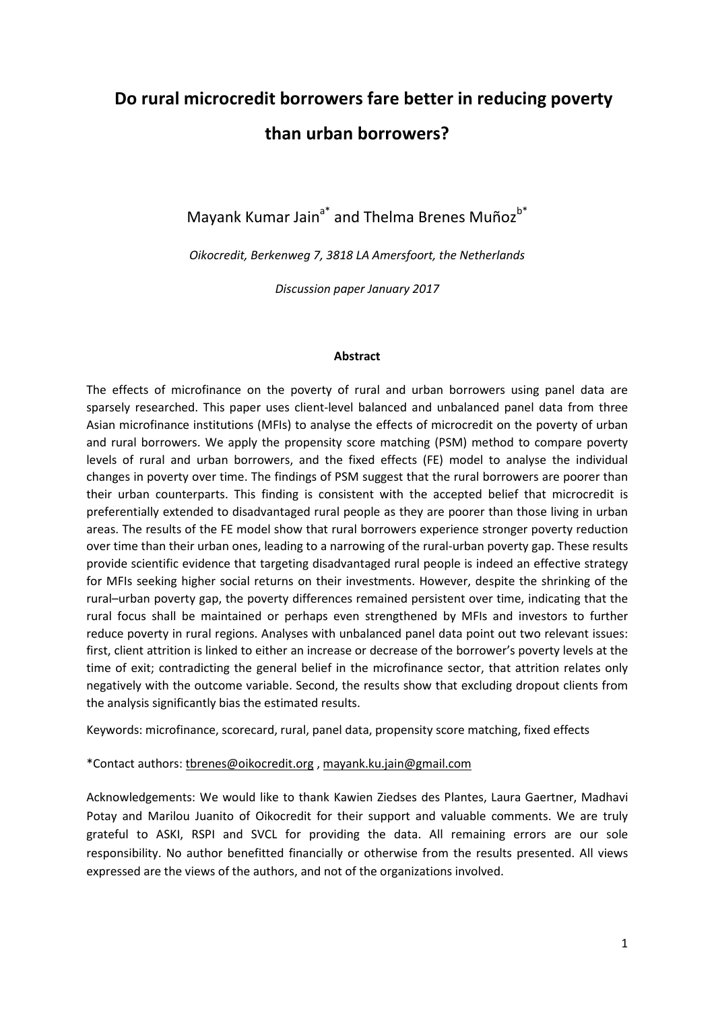# Do rural microcredit borrowers fare better in reducing poverty than urban borrowers?

Mayank Kumar Jain<sup>a\*</sup> and Thelma Brenes Muñoz<sup>b\*</sup>

Oikocredit, Berkenweg 7, 3818 LA Amersfoort, the Netherlands

Discussion paper January 2017

#### Abstract

The effects of microfinance on the poverty of rural and urban borrowers using panel data are sparsely researched. This paper uses client-level balanced and unbalanced panel data from three Asian microfinance institutions (MFIs) to analyse the effects of microcredit on the poverty of urban and rural borrowers. We apply the propensity score matching (PSM) method to compare poverty levels of rural and urban borrowers, and the fixed effects (FE) model to analyse the individual changes in poverty over time. The findings of PSM suggest that the rural borrowers are poorer than their urban counterparts. This finding is consistent with the accepted belief that microcredit is preferentially extended to disadvantaged rural people as they are poorer than those living in urban areas. The results of the FE model show that rural borrowers experience stronger poverty reduction over time than their urban ones, leading to a narrowing of the rural-urban poverty gap. These results provide scientific evidence that targeting disadvantaged rural people is indeed an effective strategy for MFIs seeking higher social returns on their investments. However, despite the shrinking of the rural–urban poverty gap, the poverty differences remained persistent over time, indicating that the rural focus shall be maintained or perhaps even strengthened by MFIs and investors to further reduce poverty in rural regions. Analyses with unbalanced panel data point out two relevant issues: first, client attrition is linked to either an increase or decrease of the borrower's poverty levels at the time of exit; contradicting the general belief in the microfinance sector, that attrition relates only negatively with the outcome variable. Second, the results show that excluding dropout clients from the analysis significantly bias the estimated results.

Keywords: microfinance, scorecard, rural, panel data, propensity score matching, fixed effects

#### \*Contact authors: tbrenes@oikocredit.org , mayank.ku.jain@gmail.com

Acknowledgements: We would like to thank Kawien Ziedses des Plantes, Laura Gaertner, Madhavi Potay and Marilou Juanito of Oikocredit for their support and valuable comments. We are truly grateful to ASKI, RSPI and SVCL for providing the data. All remaining errors are our sole responsibility. No author benefitted financially or otherwise from the results presented. All views expressed are the views of the authors, and not of the organizations involved.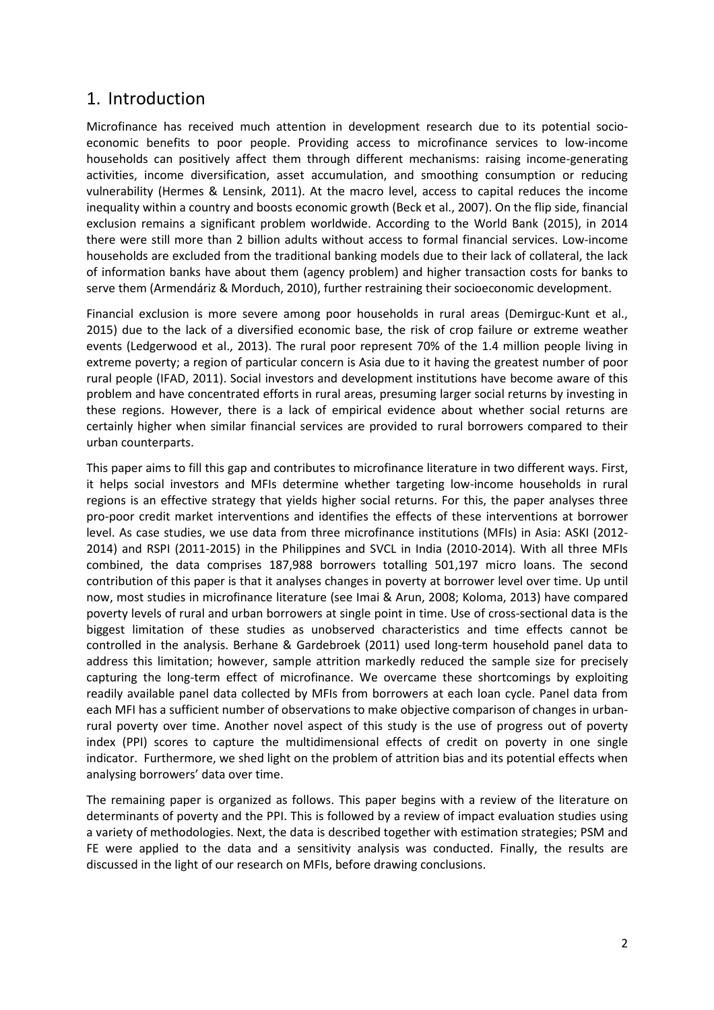### 1. Introduction

Microfinance has received much attention in development research due to its potential socioeconomic benefits to poor people. Providing access to microfinance services to low-income households can positively affect them through different mechanisms: raising income-generating activities, income diversification, asset accumulation, and smoothing consumption or reducing vulnerability (Hermes & Lensink, 2011). At the macro level, access to capital reduces the income inequality within a country and boosts economic growth (Beck et al., 2007). On the flip side, financial exclusion remains a significant problem worldwide. According to the World Bank (2015), in 2014 there were still more than 2 billion adults without access to formal financial services. Low-income households are excluded from the traditional banking models due to their lack of collateral, the lack of information banks have about them (agency problem) and higher transaction costs for banks to serve them (Armendáriz & Morduch, 2010), further restraining their socioeconomic development.

Financial exclusion is more severe among poor households in rural areas (Demirguc-Kunt et al., 2015) due to the lack of a diversified economic base, the risk of crop failure or extreme weather events (Ledgerwood et al., 2013). The rural poor represent 70% of the 1.4 million people living in extreme poverty; a region of particular concern is Asia due to it having the greatest number of poor rural people (IFAD, 2011). Social investors and development institutions have become aware of this problem and have concentrated efforts in rural areas, presuming larger social returns by investing in these regions. However, there is a lack of empirical evidence about whether social returns are certainly higher when similar financial services are provided to rural borrowers compared to their urban counterparts.

This paper aims to fill this gap and contributes to microfinance literature in two different ways. First, it helps social investors and MFIs determine whether targeting low-income households in rural regions is an effective strategy that yields higher social returns. For this, the paper analyses three pro-poor credit market interventions and identifies the effects of these interventions at borrower level. As case studies, we use data from three microfinance institutions (MFIs) in Asia: ASKI (2012- 2014) and RSPI (2011-2015) in the Philippines and SVCL in India (2010-2014). With all three MFIs combined, the data comprises 187,988 borrowers totalling 501,197 micro loans. The second contribution of this paper is that it analyses changes in poverty at borrower level over time. Up until now, most studies in microfinance literature (see Imai & Arun, 2008; Koloma, 2013) have compared poverty levels of rural and urban borrowers at single point in time. Use of cross-sectional data is the biggest limitation of these studies as unobserved characteristics and time effects cannot be controlled in the analysis. Berhane & Gardebroek (2011) used long-term household panel data to address this limitation; however, sample attrition markedly reduced the sample size for precisely capturing the long-term effect of microfinance. We overcame these shortcomings by exploiting readily available panel data collected by MFIs from borrowers at each loan cycle. Panel data from each MFI has a sufficient number of observations to make objective comparison of changes in urbanrural poverty over time. Another novel aspect of this study is the use of progress out of poverty index (PPI) scores to capture the multidimensional effects of credit on poverty in one single indicator. Furthermore, we shed light on the problem of attrition bias and its potential effects when analysing borrowers' data over time.

The remaining paper is organized as follows. This paper begins with a review of the literature on determinants of poverty and the PPI. This is followed by a review of impact evaluation studies using a variety of methodologies. Next, the data is described together with estimation strategies; PSM and FE were applied to the data and a sensitivity analysis was conducted. Finally, the results are discussed in the light of our research on MFIs, before drawing conclusions.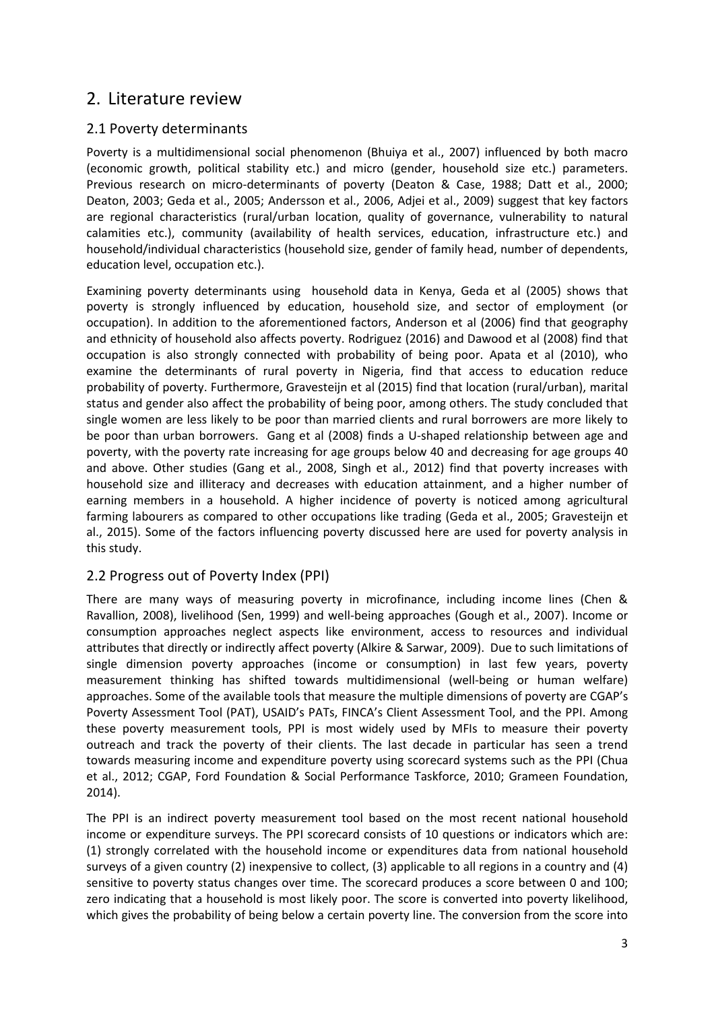### 2. Literature review

#### 2.1 Poverty determinants

Poverty is a multidimensional social phenomenon (Bhuiya et al., 2007) influenced by both macro (economic growth, political stability etc.) and micro (gender, household size etc.) parameters. Previous research on micro-determinants of poverty (Deaton & Case, 1988; Datt et al., 2000; Deaton, 2003; Geda et al., 2005; Andersson et al., 2006, Adjei et al., 2009) suggest that key factors are regional characteristics (rural/urban location, quality of governance, vulnerability to natural calamities etc.), community (availability of health services, education, infrastructure etc.) and household/individual characteristics (household size, gender of family head, number of dependents, education level, occupation etc.).

Examining poverty determinants using household data in Kenya, Geda et al (2005) shows that poverty is strongly influenced by education, household size, and sector of employment (or occupation). In addition to the aforementioned factors, Anderson et al (2006) find that geography and ethnicity of household also affects poverty. Rodriguez (2016) and Dawood et al (2008) find that occupation is also strongly connected with probability of being poor. Apata et al (2010), who examine the determinants of rural poverty in Nigeria, find that access to education reduce probability of poverty. Furthermore, Gravesteijn et al (2015) find that location (rural/urban), marital status and gender also affect the probability of being poor, among others. The study concluded that single women are less likely to be poor than married clients and rural borrowers are more likely to be poor than urban borrowers. Gang et al (2008) finds a U-shaped relationship between age and poverty, with the poverty rate increasing for age groups below 40 and decreasing for age groups 40 and above. Other studies (Gang et al., 2008, Singh et al., 2012) find that poverty increases with household size and illiteracy and decreases with education attainment, and a higher number of earning members in a household. A higher incidence of poverty is noticed among agricultural farming labourers as compared to other occupations like trading (Geda et al., 2005; Gravesteijn et al., 2015). Some of the factors influencing poverty discussed here are used for poverty analysis in this study.

#### 2.2 Progress out of Poverty Index (PPI)

There are many ways of measuring poverty in microfinance, including income lines (Chen & Ravallion, 2008), livelihood (Sen, 1999) and well-being approaches (Gough et al., 2007). Income or consumption approaches neglect aspects like environment, access to resources and individual attributes that directly or indirectly affect poverty (Alkire & Sarwar, 2009). Due to such limitations of single dimension poverty approaches (income or consumption) in last few years, poverty measurement thinking has shifted towards multidimensional (well-being or human welfare) approaches. Some of the available tools that measure the multiple dimensions of poverty are CGAP's Poverty Assessment Tool (PAT), USAID's PATs, FINCA's Client Assessment Tool, and the PPI. Among these poverty measurement tools, PPI is most widely used by MFIs to measure their poverty outreach and track the poverty of their clients. The last decade in particular has seen a trend towards measuring income and expenditure poverty using scorecard systems such as the PPI (Chua et al., 2012; CGAP, Ford Foundation & Social Performance Taskforce, 2010; Grameen Foundation, 2014).

The PPI is an indirect poverty measurement tool based on the most recent national household income or expenditure surveys. The PPI scorecard consists of 10 questions or indicators which are: (1) strongly correlated with the household income or expenditures data from national household surveys of a given country (2) inexpensive to collect, (3) applicable to all regions in a country and (4) sensitive to poverty status changes over time. The scorecard produces a score between 0 and 100; zero indicating that a household is most likely poor. The score is converted into poverty likelihood, which gives the probability of being below a certain poverty line. The conversion from the score into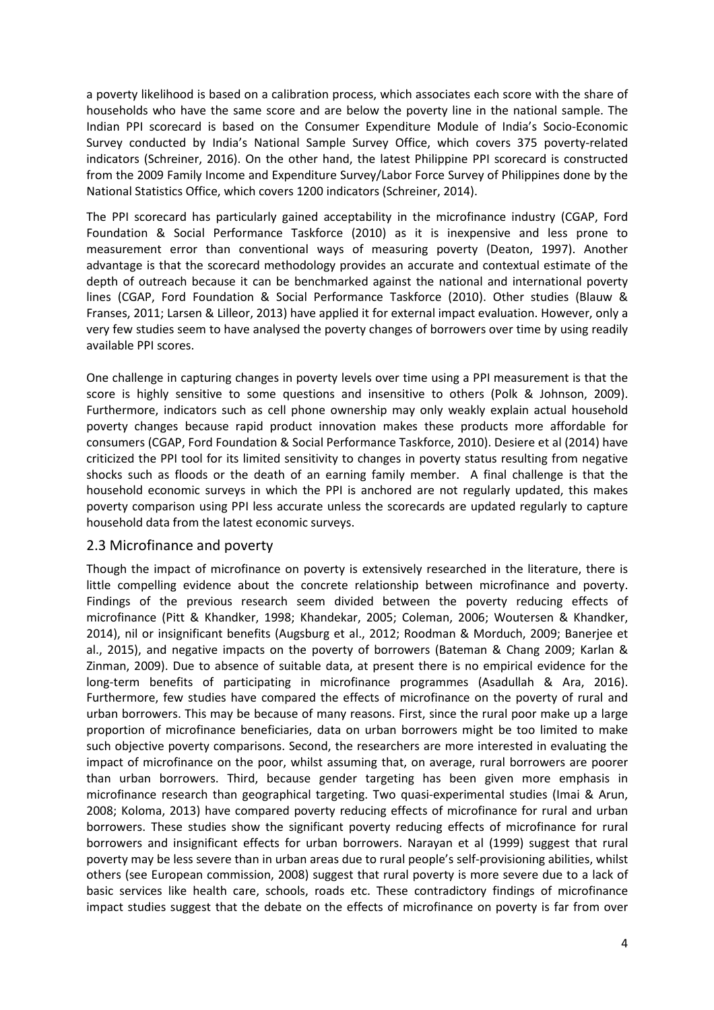a poverty likelihood is based on a calibration process, which associates each score with the share of households who have the same score and are below the poverty line in the national sample. The Indian PPI scorecard is based on the Consumer Expenditure Module of India's Socio-Economic Survey conducted by India's National Sample Survey Office, which covers 375 poverty-related indicators (Schreiner, 2016). On the other hand, the latest Philippine PPI scorecard is constructed from the 2009 Family Income and Expenditure Survey/Labor Force Survey of Philippines done by the National Statistics Office, which covers 1200 indicators (Schreiner, 2014).

The PPI scorecard has particularly gained acceptability in the microfinance industry (CGAP, Ford Foundation & Social Performance Taskforce (2010) as it is inexpensive and less prone to measurement error than conventional ways of measuring poverty (Deaton, 1997). Another advantage is that the scorecard methodology provides an accurate and contextual estimate of the depth of outreach because it can be benchmarked against the national and international poverty lines (CGAP, Ford Foundation & Social Performance Taskforce (2010). Other studies (Blauw & Franses, 2011; Larsen & Lilleor, 2013) have applied it for external impact evaluation. However, only a very few studies seem to have analysed the poverty changes of borrowers over time by using readily available PPI scores.

One challenge in capturing changes in poverty levels over time using a PPI measurement is that the score is highly sensitive to some questions and insensitive to others (Polk & Johnson, 2009). Furthermore, indicators such as cell phone ownership may only weakly explain actual household poverty changes because rapid product innovation makes these products more affordable for consumers (CGAP, Ford Foundation & Social Performance Taskforce, 2010). Desiere et al (2014) have criticized the PPI tool for its limited sensitivity to changes in poverty status resulting from negative shocks such as floods or the death of an earning family member. A final challenge is that the household economic surveys in which the PPI is anchored are not regularly updated, this makes poverty comparison using PPI less accurate unless the scorecards are updated regularly to capture household data from the latest economic surveys.

#### 2.3 Microfinance and poverty

Though the impact of microfinance on poverty is extensively researched in the literature, there is little compelling evidence about the concrete relationship between microfinance and poverty. Findings of the previous research seem divided between the poverty reducing effects of microfinance (Pitt & Khandker, 1998; Khandekar, 2005; Coleman, 2006; Woutersen & Khandker, 2014), nil or insignificant benefits (Augsburg et al., 2012; Roodman & Morduch, 2009; Banerjee et al., 2015), and negative impacts on the poverty of borrowers (Bateman & Chang 2009; Karlan & Zinman, 2009). Due to absence of suitable data, at present there is no empirical evidence for the long-term benefits of participating in microfinance programmes (Asadullah & Ara, 2016). Furthermore, few studies have compared the effects of microfinance on the poverty of rural and urban borrowers. This may be because of many reasons. First, since the rural poor make up a large proportion of microfinance beneficiaries, data on urban borrowers might be too limited to make such objective poverty comparisons. Second, the researchers are more interested in evaluating the impact of microfinance on the poor, whilst assuming that, on average, rural borrowers are poorer than urban borrowers. Third, because gender targeting has been given more emphasis in microfinance research than geographical targeting. Two quasi-experimental studies (Imai & Arun, 2008; Koloma, 2013) have compared poverty reducing effects of microfinance for rural and urban borrowers. These studies show the significant poverty reducing effects of microfinance for rural borrowers and insignificant effects for urban borrowers. Narayan et al (1999) suggest that rural poverty may be less severe than in urban areas due to rural people's self-provisioning abilities, whilst others (see European commission, 2008) suggest that rural poverty is more severe due to a lack of basic services like health care, schools, roads etc. These contradictory findings of microfinance impact studies suggest that the debate on the effects of microfinance on poverty is far from over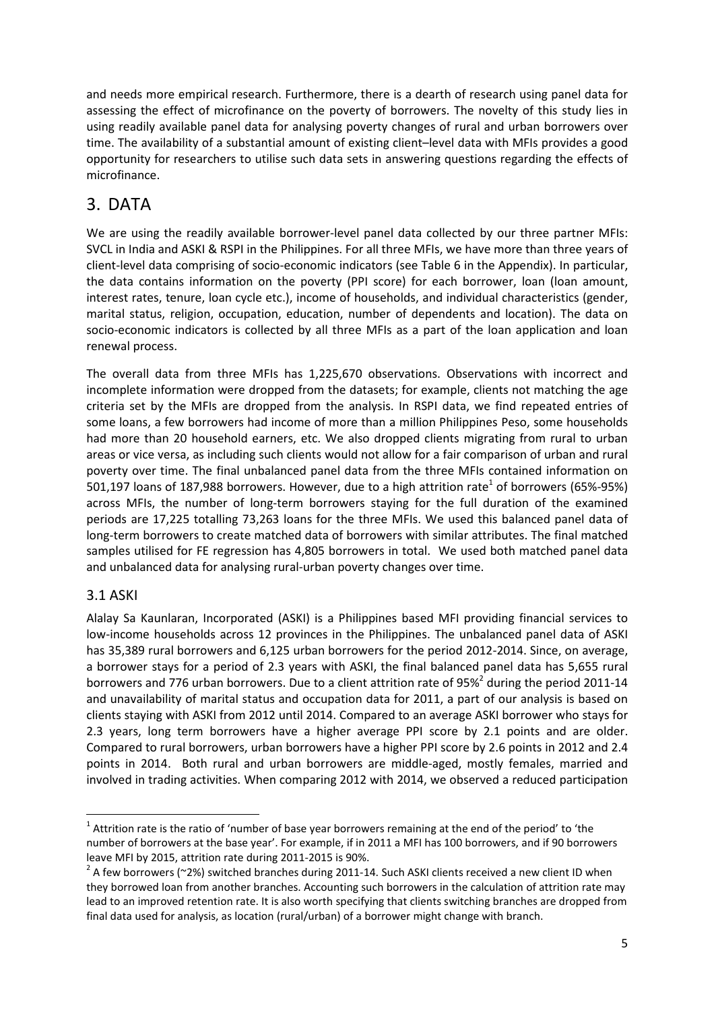and needs more empirical research. Furthermore, there is a dearth of research using panel data for assessing the effect of microfinance on the poverty of borrowers. The novelty of this study lies in using readily available panel data for analysing poverty changes of rural and urban borrowers over time. The availability of a substantial amount of existing client–level data with MFIs provides a good opportunity for researchers to utilise such data sets in answering questions regarding the effects of microfinance.

## 3. DATA

We are using the readily available borrower-level panel data collected by our three partner MFIs: SVCL in India and ASKI & RSPI in the Philippines. For all three MFIs, we have more than three years of client-level data comprising of socio-economic indicators (see Table 6 in the Appendix). In particular, the data contains information on the poverty (PPI score) for each borrower, loan (loan amount, interest rates, tenure, loan cycle etc.), income of households, and individual characteristics (gender, marital status, religion, occupation, education, number of dependents and location). The data on socio-economic indicators is collected by all three MFIs as a part of the loan application and loan renewal process.

The overall data from three MFIs has 1,225,670 observations. Observations with incorrect and incomplete information were dropped from the datasets; for example, clients not matching the age criteria set by the MFIs are dropped from the analysis. In RSPI data, we find repeated entries of some loans, a few borrowers had income of more than a million Philippines Peso, some households had more than 20 household earners, etc. We also dropped clients migrating from rural to urban areas or vice versa, as including such clients would not allow for a fair comparison of urban and rural poverty over time. The final unbalanced panel data from the three MFIs contained information on 501,197 loans of 187,988 borrowers. However, due to a high attrition rate<sup>1</sup> of borrowers (65%-95%) across MFIs, the number of long-term borrowers staying for the full duration of the examined periods are 17,225 totalling 73,263 loans for the three MFIs. We used this balanced panel data of long-term borrowers to create matched data of borrowers with similar attributes. The final matched samples utilised for FE regression has 4,805 borrowers in total. We used both matched panel data and unbalanced data for analysing rural-urban poverty changes over time.

### 3.1 ASKI

l

Alalay Sa Kaunlaran, Incorporated (ASKI) is a Philippines based MFI providing financial services to low-income households across 12 provinces in the Philippines. The unbalanced panel data of ASKI has 35,389 rural borrowers and 6,125 urban borrowers for the period 2012-2014. Since, on average, a borrower stays for a period of 2.3 years with ASKI, the final balanced panel data has 5,655 rural borrowers and 776 urban borrowers. Due to a client attrition rate of 95%<sup>2</sup> during the period 2011-14 and unavailability of marital status and occupation data for 2011, a part of our analysis is based on clients staying with ASKI from 2012 until 2014. Compared to an average ASKI borrower who stays for 2.3 years, long term borrowers have a higher average PPI score by 2.1 points and are older. Compared to rural borrowers, urban borrowers have a higher PPI score by 2.6 points in 2012 and 2.4 points in 2014. Both rural and urban borrowers are middle-aged, mostly females, married and involved in trading activities. When comparing 2012 with 2014, we observed a reduced participation

 $1$  Attrition rate is the ratio of 'number of base year borrowers remaining at the end of the period' to 'the number of borrowers at the base year'. For example, if in 2011 a MFI has 100 borrowers, and if 90 borrowers leave MFI by 2015, attrition rate during 2011-2015 is 90%.

 $^2$  A few borrowers (~2%) switched branches during 2011-14. Such ASKI clients received a new client ID when they borrowed loan from another branches. Accounting such borrowers in the calculation of attrition rate may lead to an improved retention rate. It is also worth specifying that clients switching branches are dropped from final data used for analysis, as location (rural/urban) of a borrower might change with branch.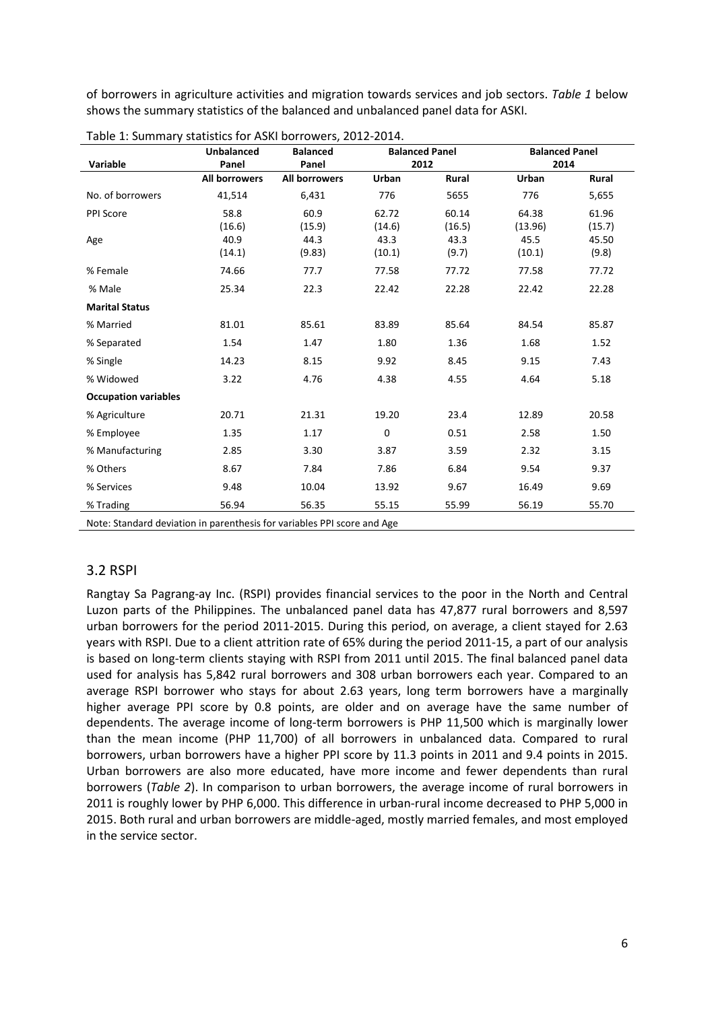of borrowers in agriculture activities and migration towards services and job sectors. Table 1 below shows the summary statistics of the balanced and unbalanced panel data for ASKI.

|                                                                         | <b>Unbalanced</b>    | <b>Balanced</b>      | <b>Balanced Panel</b> |              | <b>Balanced Panel</b> |        |  |
|-------------------------------------------------------------------------|----------------------|----------------------|-----------------------|--------------|-----------------------|--------|--|
| Variable                                                                | Panel                | Panel                |                       | 2012         | 2014                  |        |  |
|                                                                         | <b>All borrowers</b> | <b>All borrowers</b> | Urban                 | <b>Rural</b> | Urban                 | Rural  |  |
| No. of borrowers                                                        | 41,514               | 6,431                | 776                   | 5655         | 776                   | 5,655  |  |
| PPI Score                                                               | 58.8                 | 60.9                 | 62.72                 | 60.14        | 64.38                 | 61.96  |  |
|                                                                         | (16.6)               | (15.9)               | (14.6)                | (16.5)       | (13.96)               | (15.7) |  |
| Age                                                                     | 40.9                 | 44.3                 | 43.3                  | 43.3         | 45.5                  | 45.50  |  |
|                                                                         | (14.1)               | (9.83)               | (10.1)                | (9.7)        | (10.1)                | (9.8)  |  |
| % Female                                                                | 74.66                | 77.7                 | 77.58                 | 77.72        | 77.58                 | 77.72  |  |
| % Male                                                                  | 25.34                | 22.3                 | 22.42                 | 22.28        | 22.42                 | 22.28  |  |
| <b>Marital Status</b>                                                   |                      |                      |                       |              |                       |        |  |
| % Married                                                               | 81.01                | 85.61                | 83.89                 | 85.64        | 84.54                 | 85.87  |  |
| % Separated                                                             | 1.54                 | 1.47                 | 1.80                  | 1.36         | 1.68                  | 1.52   |  |
| % Single                                                                | 14.23                | 8.15                 | 9.92                  | 8.45         | 9.15                  | 7.43   |  |
| % Widowed                                                               | 3.22                 | 4.76                 | 4.38                  | 4.55         | 4.64                  | 5.18   |  |
| <b>Occupation variables</b>                                             |                      |                      |                       |              |                       |        |  |
| % Agriculture                                                           | 20.71                | 21.31                | 19.20                 | 23.4         | 12.89                 | 20.58  |  |
| % Employee                                                              | 1.35                 | 1.17                 | $\mathbf 0$           | 0.51         | 2.58                  | 1.50   |  |
| % Manufacturing                                                         | 2.85                 | 3.30                 | 3.87                  | 3.59         | 2.32                  | 3.15   |  |
| % Others                                                                | 8.67                 | 7.84                 | 7.86                  | 6.84         | 9.54                  | 9.37   |  |
| % Services                                                              | 9.48                 | 10.04                | 13.92                 | 9.67         | 16.49                 | 9.69   |  |
| % Trading                                                               | 56.94                | 56.35                | 55.15                 | 55.99        | 56.19                 | 55.70  |  |
| Note: Standard deviation in parenthesis for variables PPI score and Age |                      |                      |                       |              |                       |        |  |

|  | Table 1: Summary statistics for ASKI borrowers, 2012-2014. |  |
|--|------------------------------------------------------------|--|
|--|------------------------------------------------------------|--|

#### 3.2 RSPI

Rangtay Sa Pagrang-ay Inc. (RSPI) provides financial services to the poor in the North and Central Luzon parts of the Philippines. The unbalanced panel data has 47,877 rural borrowers and 8,597 urban borrowers for the period 2011-2015. During this period, on average, a client stayed for 2.63 years with RSPI. Due to a client attrition rate of 65% during the period 2011-15, a part of our analysis is based on long-term clients staying with RSPI from 2011 until 2015. The final balanced panel data used for analysis has 5,842 rural borrowers and 308 urban borrowers each year. Compared to an average RSPI borrower who stays for about 2.63 years, long term borrowers have a marginally higher average PPI score by 0.8 points, are older and on average have the same number of dependents. The average income of long-term borrowers is PHP 11,500 which is marginally lower than the mean income (PHP 11,700) of all borrowers in unbalanced data. Compared to rural borrowers, urban borrowers have a higher PPI score by 11.3 points in 2011 and 9.4 points in 2015. Urban borrowers are also more educated, have more income and fewer dependents than rural borrowers (Table 2). In comparison to urban borrowers, the average income of rural borrowers in 2011 is roughly lower by PHP 6,000. This difference in urban-rural income decreased to PHP 5,000 in 2015. Both rural and urban borrowers are middle-aged, mostly married females, and most employed in the service sector.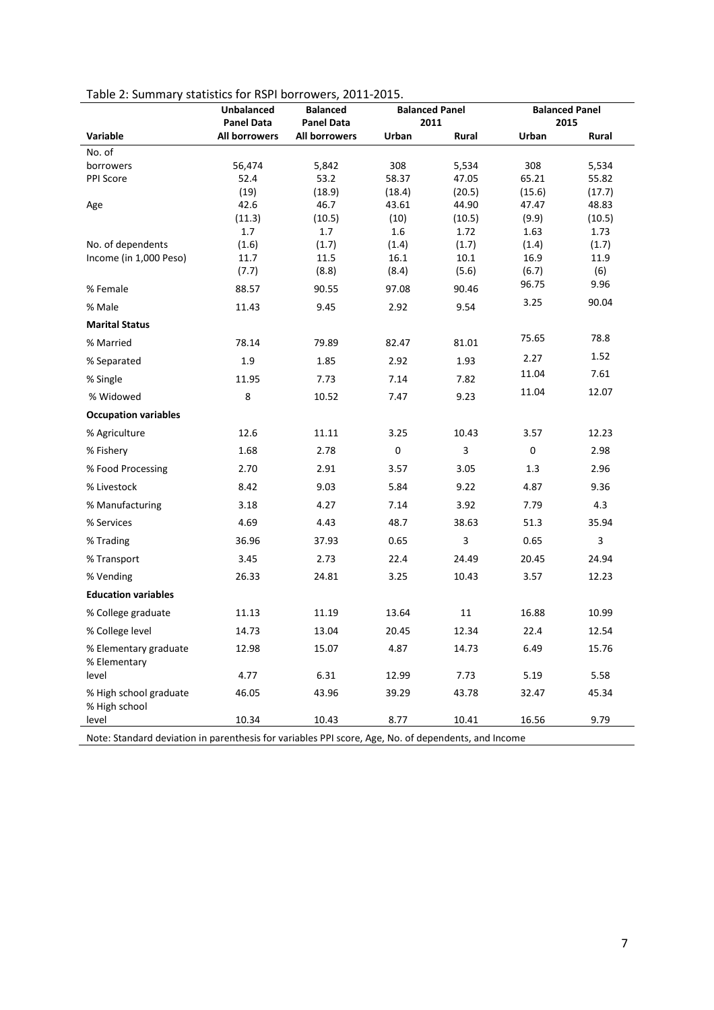| Table 2: Summary statistics for RSPI borrowers, 2011-2015 |
|-----------------------------------------------------------|
|-----------------------------------------------------------|

|                                         | <b>Unbalanced</b><br><b>Panel Data</b> | <b>Balanced</b><br><b>Panel Data</b> | <b>Balanced Panel</b><br>2011 |                | <b>Balanced Panel</b><br>2015 |                |
|-----------------------------------------|----------------------------------------|--------------------------------------|-------------------------------|----------------|-------------------------------|----------------|
| Variable                                | All borrowers                          | All borrowers                        | Urban                         | Rural          | Urban                         | Rural          |
| No. of                                  |                                        |                                      |                               |                |                               |                |
| borrowers                               | 56,474                                 | 5,842                                | 308                           | 5,534          | 308                           | 5,534          |
| PPI Score                               | 52.4                                   | 53.2                                 | 58.37                         | 47.05          | 65.21                         | 55.82          |
|                                         | (19)                                   | (18.9)                               | (18.4)                        | (20.5)         | (15.6)                        | (17.7)         |
| Age                                     | 42.6                                   | 46.7                                 | 43.61                         | 44.90          | 47.47                         | 48.83          |
|                                         | (11.3)<br>1.7                          | (10.5)<br>1.7                        | (10)<br>1.6                   | (10.5)<br>1.72 | (9.9)<br>1.63                 | (10.5)<br>1.73 |
| No. of dependents                       | (1.6)                                  | (1.7)                                | (1.4)                         | (1.7)          | (1.4)                         | (1.7)          |
| Income (in 1,000 Peso)                  | 11.7                                   | 11.5                                 | 16.1                          | 10.1           | 16.9                          | 11.9           |
|                                         | (7.7)                                  | (8.8)                                | (8.4)                         | (5.6)          | (6.7)                         | (6)            |
| % Female                                | 88.57                                  | 90.55                                | 97.08                         | 90.46          | 96.75                         | 9.96           |
| % Male                                  | 11.43                                  | 9.45                                 | 2.92                          | 9.54           | 3.25                          | 90.04          |
| <b>Marital Status</b>                   |                                        |                                      |                               |                |                               |                |
| % Married                               | 78.14                                  | 79.89                                | 82.47                         | 81.01          | 75.65                         | 78.8           |
| % Separated                             | 1.9                                    | 1.85                                 | 2.92                          | 1.93           | 2.27                          | 1.52           |
| % Single                                | 11.95                                  | 7.73                                 | 7.14                          | 7.82           | 11.04                         | 7.61           |
| % Widowed                               | 8                                      | 10.52                                | 7.47                          | 9.23           | 11.04                         | 12.07          |
| <b>Occupation variables</b>             |                                        |                                      |                               |                |                               |                |
| % Agriculture                           | 12.6                                   | 11.11                                | 3.25                          | 10.43          | 3.57                          | 12.23          |
| % Fishery                               | 1.68                                   | 2.78                                 | $\pmb{0}$                     | 3              | $\pmb{0}$                     | 2.98           |
| % Food Processing                       | 2.70                                   | 2.91                                 | 3.57                          | 3.05           | 1.3                           | 2.96           |
| % Livestock                             | 8.42                                   | 9.03                                 | 5.84                          | 9.22           | 4.87                          | 9.36           |
| % Manufacturing                         | 3.18                                   | 4.27                                 | 7.14                          | 3.92           | 7.79                          | 4.3            |
| % Services                              | 4.69                                   | 4.43                                 | 48.7                          | 38.63          | 51.3                          | 35.94          |
| % Trading                               | 36.96                                  | 37.93                                | 0.65                          | 3              | 0.65                          | 3              |
| % Transport                             | 3.45                                   | 2.73                                 | 22.4                          | 24.49          | 20.45                         | 24.94          |
| % Vending                               | 26.33                                  | 24.81                                | 3.25                          | 10.43          | 3.57                          | 12.23          |
| <b>Education variables</b>              |                                        |                                      |                               |                |                               |                |
| % College graduate                      | 11.13                                  | 11.19                                | 13.64                         | 11             | 16.88                         | 10.99          |
| % College level                         | 14.73                                  | 13.04                                | 20.45                         | 12.34          | 22.4                          | 12.54          |
| % Elementary graduate<br>% Elementary   | 12.98                                  | 15.07                                | 4.87                          | 14.73          | 6.49                          | 15.76          |
| level                                   | 4.77                                   | 6.31                                 | 12.99                         | 7.73           | 5.19                          | 5.58           |
| % High school graduate<br>% High school | 46.05                                  | 43.96                                | 39.29                         | 43.78          | 32.47                         | 45.34          |
| level                                   | 10.34                                  | 10.43                                | 8.77                          | 10.41          | 16.56                         | 9.79           |

Note: Standard deviation in parenthesis for variables PPI score, Age, No. of dependents, and Income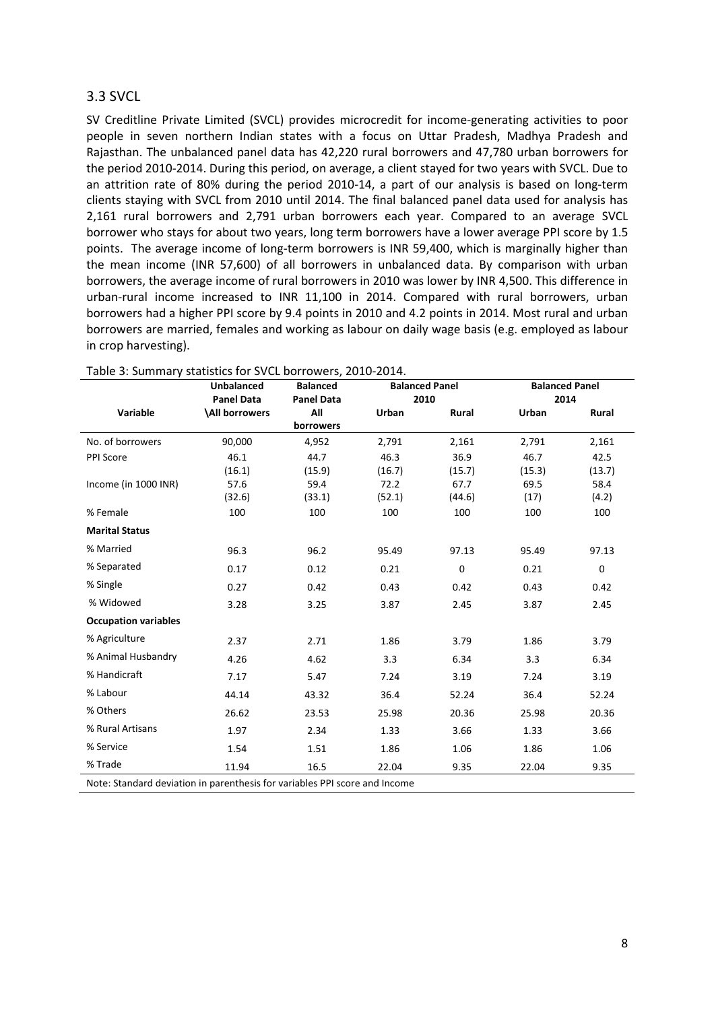#### 3.3 SVCL

SV Creditline Private Limited (SVCL) provides microcredit for income-generating activities to poor people in seven northern Indian states with a focus on Uttar Pradesh, Madhya Pradesh and Rajasthan. The unbalanced panel data has 42,220 rural borrowers and 47,780 urban borrowers for the period 2010-2014. During this period, on average, a client stayed for two years with SVCL. Due to an attrition rate of 80% during the period 2010-14, a part of our analysis is based on long-term clients staying with SVCL from 2010 until 2014. The final balanced panel data used for analysis has 2,161 rural borrowers and 2,791 urban borrowers each year. Compared to an average SVCL borrower who stays for about two years, long term borrowers have a lower average PPI score by 1.5 points. The average income of long-term borrowers is INR 59,400, which is marginally higher than the mean income (INR 57,600) of all borrowers in unbalanced data. By comparison with urban borrowers, the average income of rural borrowers in 2010 was lower by INR 4,500. This difference in urban-rural income increased to INR 11,100 in 2014. Compared with rural borrowers, urban borrowers had a higher PPI score by 9.4 points in 2010 and 4.2 points in 2014. Most rural and urban borrowers are married, females and working as labour on daily wage basis (e.g. employed as labour in crop harvesting).

|                                                                            | <b>Unbalanced</b><br><b>Balanced</b><br><b>Balanced Panel</b><br><b>Panel Data</b><br><b>Panel Data</b><br>2010 |           | <b>Balanced Panel</b><br>2014 |           |        |             |
|----------------------------------------------------------------------------|-----------------------------------------------------------------------------------------------------------------|-----------|-------------------------------|-----------|--------|-------------|
| Variable                                                                   | <b>All borrowers</b>                                                                                            | All       | Urban                         | Rural     | Urban  | Rural       |
|                                                                            |                                                                                                                 | borrowers |                               |           |        |             |
| No. of borrowers                                                           | 90,000                                                                                                          | 4,952     | 2,791                         | 2,161     | 2,791  | 2,161       |
| PPI Score                                                                  | 46.1                                                                                                            | 44.7      | 46.3                          | 36.9      | 46.7   | 42.5        |
|                                                                            | (16.1)                                                                                                          | (15.9)    | (16.7)                        | (15.7)    | (15.3) | (13.7)      |
| Income (in 1000 INR)                                                       | 57.6                                                                                                            | 59.4      | 72.2                          | 67.7      | 69.5   | 58.4        |
|                                                                            | (32.6)                                                                                                          | (33.1)    | (52.1)                        | (44.6)    | (17)   | (4.2)       |
| % Female                                                                   | 100                                                                                                             | 100       | 100                           | 100       | 100    | 100         |
| <b>Marital Status</b>                                                      |                                                                                                                 |           |                               |           |        |             |
| % Married                                                                  | 96.3                                                                                                            | 96.2      | 95.49                         | 97.13     | 95.49  | 97.13       |
| % Separated                                                                | 0.17                                                                                                            | 0.12      | 0.21                          | $\pmb{0}$ | 0.21   | $\mathbf 0$ |
| % Single                                                                   | 0.27                                                                                                            | 0.42      | 0.43                          | 0.42      | 0.43   | 0.42        |
| % Widowed                                                                  | 3.28                                                                                                            | 3.25      | 3.87                          | 2.45      | 3.87   | 2.45        |
| <b>Occupation variables</b>                                                |                                                                                                                 |           |                               |           |        |             |
| % Agriculture                                                              | 2.37                                                                                                            | 2.71      | 1.86                          | 3.79      | 1.86   | 3.79        |
| % Animal Husbandry                                                         | 4.26                                                                                                            | 4.62      | 3.3                           | 6.34      | 3.3    | 6.34        |
| % Handicraft                                                               | 7.17                                                                                                            | 5.47      | 7.24                          | 3.19      | 7.24   | 3.19        |
| % Labour                                                                   | 44.14                                                                                                           | 43.32     | 36.4                          | 52.24     | 36.4   | 52.24       |
| % Others                                                                   | 26.62                                                                                                           | 23.53     | 25.98                         | 20.36     | 25.98  | 20.36       |
| % Rural Artisans                                                           | 1.97                                                                                                            | 2.34      | 1.33                          | 3.66      | 1.33   | 3.66        |
| % Service                                                                  | 1.54                                                                                                            | 1.51      | 1.86                          | 1.06      | 1.86   | 1.06        |
| % Trade                                                                    | 11.94                                                                                                           | 16.5      | 22.04                         | 9.35      | 22.04  | 9.35        |
| Note: Standard deviation in parenthesis for variables PPI score and Income |                                                                                                                 |           |                               |           |        |             |

|  |  | Table 3: Summary statistics for SVCL borrowers, 2010-2014. |
|--|--|------------------------------------------------------------|
|--|--|------------------------------------------------------------|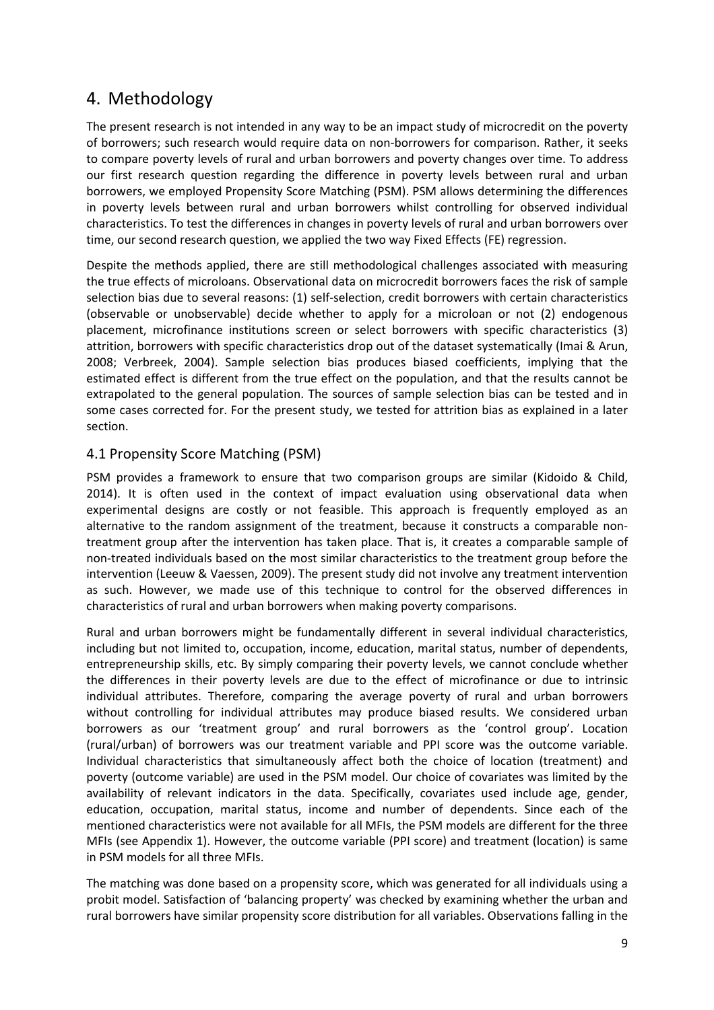### 4. Methodology

The present research is not intended in any way to be an impact study of microcredit on the poverty of borrowers; such research would require data on non-borrowers for comparison. Rather, it seeks to compare poverty levels of rural and urban borrowers and poverty changes over time. To address our first research question regarding the difference in poverty levels between rural and urban borrowers, we employed Propensity Score Matching (PSM). PSM allows determining the differences in poverty levels between rural and urban borrowers whilst controlling for observed individual characteristics. To test the differences in changes in poverty levels of rural and urban borrowers over time, our second research question, we applied the two way Fixed Effects (FE) regression.

Despite the methods applied, there are still methodological challenges associated with measuring the true effects of microloans. Observational data on microcredit borrowers faces the risk of sample selection bias due to several reasons: (1) self-selection, credit borrowers with certain characteristics (observable or unobservable) decide whether to apply for a microloan or not (2) endogenous placement, microfinance institutions screen or select borrowers with specific characteristics (3) attrition, borrowers with specific characteristics drop out of the dataset systematically (Imai & Arun, 2008; Verbreek, 2004). Sample selection bias produces biased coefficients, implying that the estimated effect is different from the true effect on the population, and that the results cannot be extrapolated to the general population. The sources of sample selection bias can be tested and in some cases corrected for. For the present study, we tested for attrition bias as explained in a later section.

#### 4.1 Propensity Score Matching (PSM)

PSM provides a framework to ensure that two comparison groups are similar (Kidoido & Child, 2014). It is often used in the context of impact evaluation using observational data when experimental designs are costly or not feasible. This approach is frequently employed as an alternative to the random assignment of the treatment, because it constructs a comparable nontreatment group after the intervention has taken place. That is, it creates a comparable sample of non-treated individuals based on the most similar characteristics to the treatment group before the intervention (Leeuw & Vaessen, 2009). The present study did not involve any treatment intervention as such. However, we made use of this technique to control for the observed differences in characteristics of rural and urban borrowers when making poverty comparisons.

Rural and urban borrowers might be fundamentally different in several individual characteristics, including but not limited to, occupation, income, education, marital status, number of dependents, entrepreneurship skills, etc. By simply comparing their poverty levels, we cannot conclude whether the differences in their poverty levels are due to the effect of microfinance or due to intrinsic individual attributes. Therefore, comparing the average poverty of rural and urban borrowers without controlling for individual attributes may produce biased results. We considered urban borrowers as our 'treatment group' and rural borrowers as the 'control group'. Location (rural/urban) of borrowers was our treatment variable and PPI score was the outcome variable. Individual characteristics that simultaneously affect both the choice of location (treatment) and poverty (outcome variable) are used in the PSM model. Our choice of covariates was limited by the availability of relevant indicators in the data. Specifically, covariates used include age, gender, education, occupation, marital status, income and number of dependents. Since each of the mentioned characteristics were not available for all MFIs, the PSM models are different for the three MFIs (see Appendix 1). However, the outcome variable (PPI score) and treatment (location) is same in PSM models for all three MFIs.

The matching was done based on a propensity score, which was generated for all individuals using a probit model. Satisfaction of 'balancing property' was checked by examining whether the urban and rural borrowers have similar propensity score distribution for all variables. Observations falling in the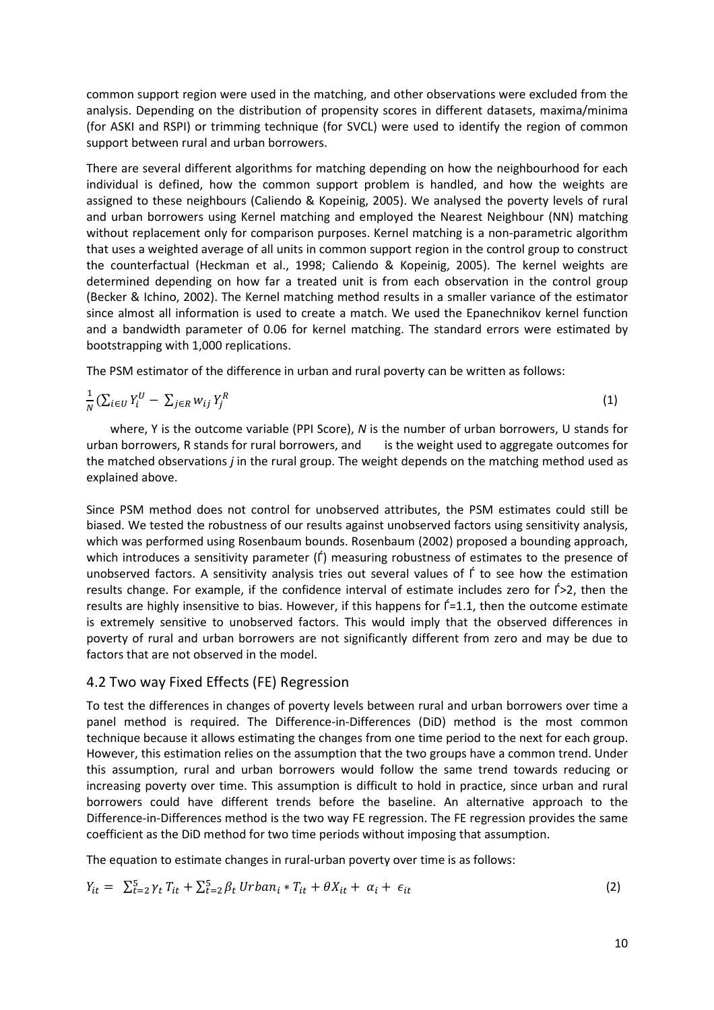common support region were used in the matching, and other observations were excluded from the analysis. Depending on the distribution of propensity scores in different datasets, maxima/minima (for ASKI and RSPI) or trimming technique (for SVCL) were used to identify the region of common support between rural and urban borrowers.

There are several different algorithms for matching depending on how the neighbourhood for each individual is defined, how the common support problem is handled, and how the weights are assigned to these neighbours (Caliendo & Kopeinig, 2005). We analysed the poverty levels of rural and urban borrowers using Kernel matching and employed the Nearest Neighbour (NN) matching without replacement only for comparison purposes. Kernel matching is a non-parametric algorithm that uses a weighted average of all units in common support region in the control group to construct the counterfactual (Heckman et al., 1998; Caliendo & Kopeinig, 2005). The kernel weights are determined depending on how far a treated unit is from each observation in the control group (Becker & Ichino, 2002). The Kernel matching method results in a smaller variance of the estimator since almost all information is used to create a match. We used the Epanechnikov kernel function and a bandwidth parameter of 0.06 for kernel matching. The standard errors were estimated by bootstrapping with 1,000 replications.

The PSM estimator of the difference in urban and rural poverty can be written as follows:

$$
\frac{1}{N} \left( \sum_{i \in U} Y_i^U - \sum_{j \in R} W_{ij} Y_j^R \right) \tag{1}
$$

 where, Y is the outcome variable (PPI Score), N is the number of urban borrowers, U stands for urban borrowers, R stands for rural borrowers, and is the weight used to aggregate outcomes for the matched observations j in the rural group. The weight depends on the matching method used as explained above.

Since PSM method does not control for unobserved attributes, the PSM estimates could still be biased. We tested the robustness of our results against unobserved factors using sensitivity analysis, which was performed using Rosenbaum bounds. Rosenbaum (2002) proposed a bounding approach, which introduces a sensitivity parameter (f) measuring robustness of estimates to the presence of unobserved factors. A sensitivity analysis tries out several values of Ѓ to see how the estimation results change. For example, if the confidence interval of estimate includes zero for Ѓ>2, then the results are highly insensitive to bias. However, if this happens for Ѓ=1.1, then the outcome estimate is extremely sensitive to unobserved factors. This would imply that the observed differences in poverty of rural and urban borrowers are not significantly different from zero and may be due to factors that are not observed in the model.

#### 4.2 Two way Fixed Effects (FE) Regression

To test the differences in changes of poverty levels between rural and urban borrowers over time a panel method is required. The Difference-in-Differences (DiD) method is the most common technique because it allows estimating the changes from one time period to the next for each group. However, this estimation relies on the assumption that the two groups have a common trend. Under this assumption, rural and urban borrowers would follow the same trend towards reducing or increasing poverty over time. This assumption is difficult to hold in practice, since urban and rural borrowers could have different trends before the baseline. An alternative approach to the Difference-in-Differences method is the two way FE regression. The FE regression provides the same coefficient as the DiD method for two time periods without imposing that assumption.

The equation to estimate changes in rural-urban poverty over time is as follows:

$$
Y_{it} = \sum_{t=2}^{5} \gamma_t T_{it} + \sum_{t=2}^{5} \beta_t Urban_i * T_{it} + \theta X_{it} + \alpha_i + \epsilon_{it}
$$
 (2)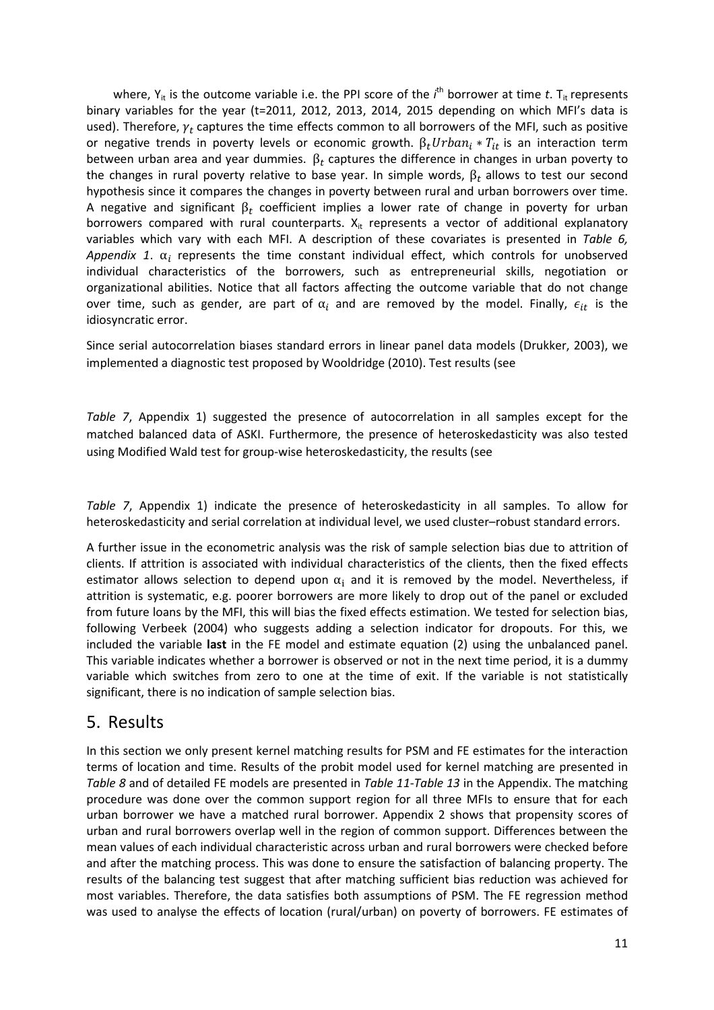where, Y<sub>it</sub> is the outcome variable i.e. the PPI score of the *i*<sup>th</sup> borrower at time t. T<sub>it</sub> represents binary variables for the year (t=2011, 2012, 2013, 2014, 2015 depending on which MFI's data is used). Therefore,  $\gamma_t$  captures the time effects common to all borrowers of the MFI, such as positive or negative trends in poverty levels or economic growth.  $\beta_t Urban_i * T_{it}$  is an interaction term between urban area and year dummies.  $\beta_t$  captures the difference in changes in urban poverty to the changes in rural poverty relative to base year. In simple words,  $\beta_t$  allows to test our second hypothesis since it compares the changes in poverty between rural and urban borrowers over time. A negative and significant  $\beta_t$  coefficient implies a lower rate of change in poverty for urban borrowers compared with rural counterparts.  $X_{it}$  represents a vector of additional explanatory variables which vary with each MFI. A description of these covariates is presented in Table 6, Appendix 1.  $\alpha_i$  represents the time constant individual effect, which controls for unobserved individual characteristics of the borrowers, such as entrepreneurial skills, negotiation or organizational abilities. Notice that all factors affecting the outcome variable that do not change over time, such as gender, are part of  $\alpha_i$  and are removed by the model. Finally,  $\epsilon_{it}$  is the idiosyncratic error.

Since serial autocorrelation biases standard errors in linear panel data models (Drukker, 2003), we implemented a diagnostic test proposed by Wooldridge (2010). Test results (see

Table 7, Appendix 1) suggested the presence of autocorrelation in all samples except for the matched balanced data of ASKI. Furthermore, the presence of heteroskedasticity was also tested using Modified Wald test for group-wise heteroskedasticity, the results (see

Table 7, Appendix 1) indicate the presence of heteroskedasticity in all samples. To allow for heteroskedasticity and serial correlation at individual level, we used cluster–robust standard errors.

A further issue in the econometric analysis was the risk of sample selection bias due to attrition of clients. If attrition is associated with individual characteristics of the clients, then the fixed effects estimator allows selection to depend upon  $\alpha_i$  and it is removed by the model. Nevertheless, if attrition is systematic, e.g. poorer borrowers are more likely to drop out of the panel or excluded from future loans by the MFI, this will bias the fixed effects estimation. We tested for selection bias, following Verbeek (2004) who suggests adding a selection indicator for dropouts. For this, we included the variable last in the FE model and estimate equation (2) using the unbalanced panel. This variable indicates whether a borrower is observed or not in the next time period, it is a dummy variable which switches from zero to one at the time of exit. If the variable is not statistically significant, there is no indication of sample selection bias.

### 5. Results

In this section we only present kernel matching results for PSM and FE estimates for the interaction terms of location and time. Results of the probit model used for kernel matching are presented in Table 8 and of detailed FE models are presented in Table 11-Table 13 in the Appendix. The matching procedure was done over the common support region for all three MFIs to ensure that for each urban borrower we have a matched rural borrower. Appendix 2 shows that propensity scores of urban and rural borrowers overlap well in the region of common support. Differences between the mean values of each individual characteristic across urban and rural borrowers were checked before and after the matching process. This was done to ensure the satisfaction of balancing property. The results of the balancing test suggest that after matching sufficient bias reduction was achieved for most variables. Therefore, the data satisfies both assumptions of PSM. The FE regression method was used to analyse the effects of location (rural/urban) on poverty of borrowers. FE estimates of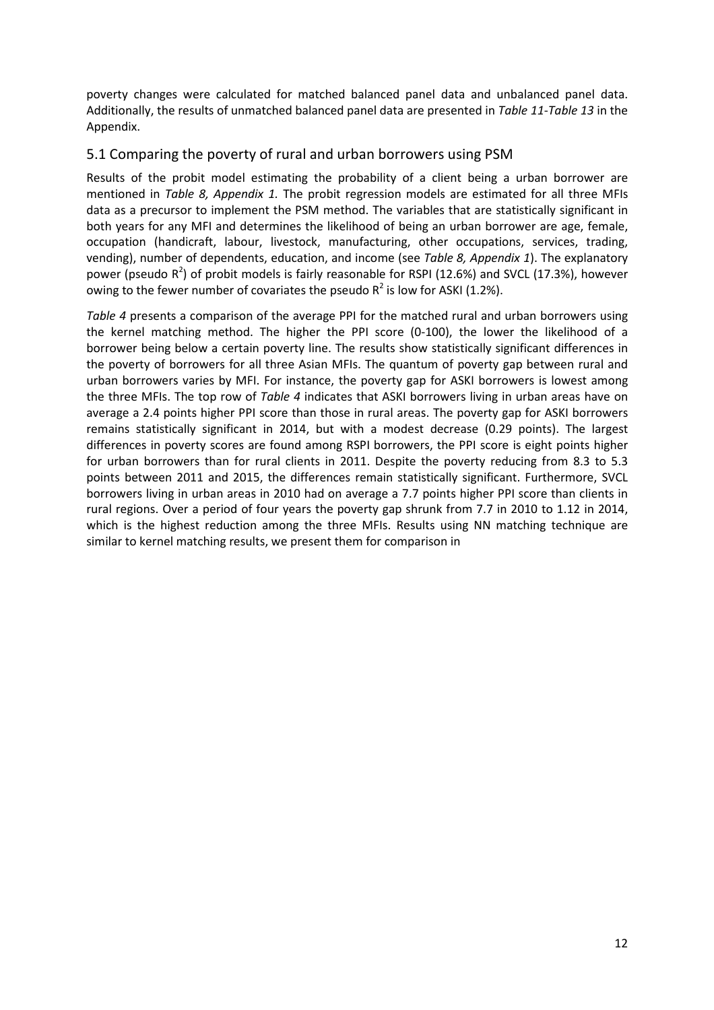poverty changes were calculated for matched balanced panel data and unbalanced panel data. Additionally, the results of unmatched balanced panel data are presented in Table 11-Table 13 in the Appendix.

#### 5.1 Comparing the poverty of rural and urban borrowers using PSM

Results of the probit model estimating the probability of a client being a urban borrower are mentioned in Table 8, Appendix 1. The probit regression models are estimated for all three MFIs data as a precursor to implement the PSM method. The variables that are statistically significant in both years for any MFI and determines the likelihood of being an urban borrower are age, female, occupation (handicraft, labour, livestock, manufacturing, other occupations, services, trading, vending), number of dependents, education, and income (see Table 8, Appendix 1). The explanatory power (pseudo  $R^2$ ) of probit models is fairly reasonable for RSPI (12.6%) and SVCL (17.3%), however owing to the fewer number of covariates the pseudo  $R^2$  is low for ASKI (1.2%).

Table 4 presents a comparison of the average PPI for the matched rural and urban borrowers using the kernel matching method. The higher the PPI score (0-100), the lower the likelihood of a borrower being below a certain poverty line. The results show statistically significant differences in the poverty of borrowers for all three Asian MFIs. The quantum of poverty gap between rural and urban borrowers varies by MFI. For instance, the poverty gap for ASKI borrowers is lowest among the three MFIs. The top row of Table 4 indicates that ASKI borrowers living in urban areas have on average a 2.4 points higher PPI score than those in rural areas. The poverty gap for ASKI borrowers remains statistically significant in 2014, but with a modest decrease (0.29 points). The largest differences in poverty scores are found among RSPI borrowers, the PPI score is eight points higher for urban borrowers than for rural clients in 2011. Despite the poverty reducing from 8.3 to 5.3 points between 2011 and 2015, the differences remain statistically significant. Furthermore, SVCL borrowers living in urban areas in 2010 had on average a 7.7 points higher PPI score than clients in rural regions. Over a period of four years the poverty gap shrunk from 7.7 in 2010 to 1.12 in 2014, which is the highest reduction among the three MFIs. Results using NN matching technique are similar to kernel matching results, we present them for comparison in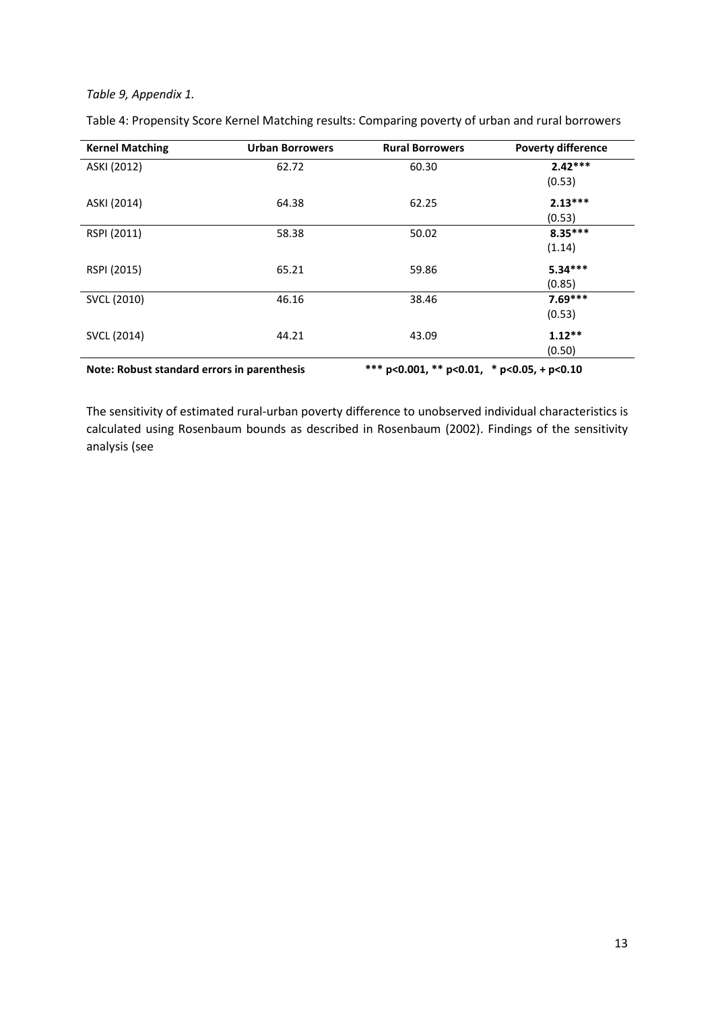#### Table 9, Appendix 1.

| <b>Kernel Matching</b> | <b>Urban Borrowers</b> | <b>Rural Borrowers</b> | <b>Poverty difference</b> |
|------------------------|------------------------|------------------------|---------------------------|
| ASKI (2012)            | 62.72                  | 60.30                  | $2.42***$                 |
|                        |                        |                        | (0.53)                    |
| ASKI (2014)            | 64.38                  | 62.25                  | $2.13***$                 |
|                        |                        |                        | (0.53)                    |
| RSPI (2011)            | 58.38                  | 50.02                  | $8.35***$                 |
|                        |                        |                        | (1.14)                    |
| RSPI (2015)            | 65.21                  | 59.86                  | $5.34***$                 |
|                        |                        |                        | (0.85)                    |
| SVCL (2010)            | 46.16                  | 38.46                  | $7.69***$                 |
|                        |                        |                        | (0.53)                    |
| SVCL (2014)            | 44.21                  | 43.09                  | $1.12**$                  |
|                        |                        |                        | (0.50)                    |

Table 4: Propensity Score Kernel Matching results: Comparing poverty of urban and rural borrowers

Note: Robust standard errors in parenthesis \*\*\* p<0.001, \*\* p<0.01, \* p<0.05, + p<0.10

The sensitivity of estimated rural-urban poverty difference to unobserved individual characteristics is calculated using Rosenbaum bounds as described in Rosenbaum (2002). Findings of the sensitivity analysis (see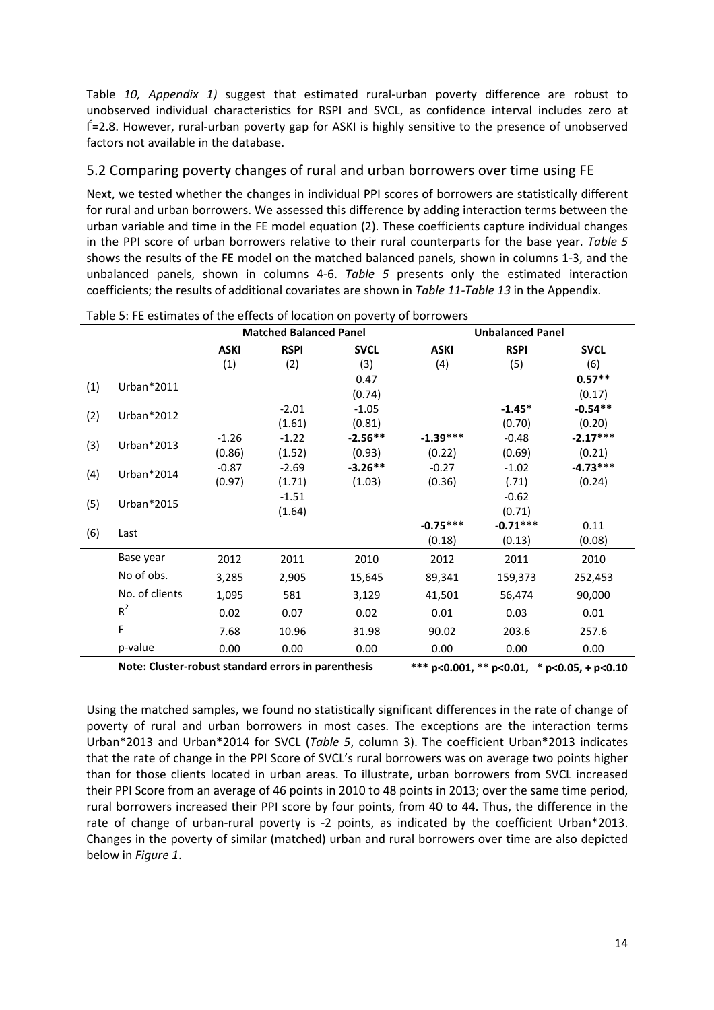Table 10, Appendix 1) suggest that estimated rural-urban poverty difference are robust to unobserved individual characteristics for RSPI and SVCL, as confidence interval includes zero at Ѓ=2.8. However, rural-urban poverty gap for ASKI is highly sensitive to the presence of unobserved factors not available in the database.

#### 5.2 Comparing poverty changes of rural and urban borrowers over time using FE

Next, we tested whether the changes in individual PPI scores of borrowers are statistically different for rural and urban borrowers. We assessed this difference by adding interaction terms between the urban variable and time in the FE model equation (2). These coefficients capture individual changes in the PPI score of urban borrowers relative to their rural counterparts for the base year. Table 5 shows the results of the FE model on the matched balanced panels, shown in columns 1-3, and the unbalanced panels, shown in columns 4-6. Table 5 presents only the estimated interaction coefficients; the results of additional covariates are shown in Table 11-Table 13 in the Appendix.

|     |                                                     | <b>Matched Balanced Panel</b> |             |             | <b>Unbalanced Panel</b> |             |                                            |  |
|-----|-----------------------------------------------------|-------------------------------|-------------|-------------|-------------------------|-------------|--------------------------------------------|--|
|     |                                                     | <b>ASKI</b>                   | <b>RSPI</b> | <b>SVCL</b> | <b>ASKI</b>             | <b>RSPI</b> | <b>SVCL</b>                                |  |
|     |                                                     | (1)                           | (2)         | (3)         | (4)                     | (5)         | (6)                                        |  |
| (1) | Urban*2011                                          |                               |             | 0.47        |                         |             | $0.57**$                                   |  |
|     |                                                     |                               |             | (0.74)      |                         |             | (0.17)                                     |  |
| (2) | Urban*2012                                          |                               | $-2.01$     | $-1.05$     |                         | $-1.45*$    | $-0.54**$                                  |  |
|     |                                                     |                               | (1.61)      | (0.81)      |                         | (0.70)      | (0.20)                                     |  |
| (3) | Urban*2013                                          | $-1.26$                       | $-1.22$     | $-2.56**$   | $-1.39***$              | $-0.48$     | $-2.17***$                                 |  |
|     |                                                     | (0.86)                        | (1.52)      | (0.93)      | (0.22)                  | (0.69)      | (0.21)                                     |  |
| (4) | Urban*2014                                          | $-0.87$                       | $-2.69$     | $-3.26**$   | $-0.27$                 | $-1.02$     | $-4.73***$                                 |  |
|     |                                                     | (0.97)                        | (1.71)      | (1.03)      | (0.36)                  | (.71)       | (0.24)                                     |  |
| (5) | Urban*2015                                          |                               | $-1.51$     |             |                         | $-0.62$     |                                            |  |
|     |                                                     |                               | (1.64)      |             |                         | (0.71)      |                                            |  |
| (6) | Last                                                |                               |             |             | $-0.75***$              | $-0.71***$  | 0.11                                       |  |
|     |                                                     |                               |             |             | (0.18)                  | (0.13)      | (0.08)                                     |  |
|     | Base year                                           | 2012                          | 2011        | 2010        | 2012                    | 2011        | 2010                                       |  |
|     | No of obs.                                          | 3,285                         | 2,905       | 15,645      | 89,341                  | 159,373     | 252,453                                    |  |
|     | No. of clients                                      | 1,095                         | 581         | 3,129       | 41,501                  | 56,474      | 90,000                                     |  |
|     | $R^2$                                               | 0.02                          | 0.07        | 0.02        | 0.01                    | 0.03        | 0.01                                       |  |
|     | F                                                   | 7.68                          | 10.96       | 31.98       | 90.02                   | 203.6       | 257.6                                      |  |
|     | p-value                                             | 0.00                          | 0.00        | 0.00        | 0.00                    | 0.00        | 0.00                                       |  |
|     | Note: Cluster-robust standard errors in parenthesis |                               |             |             |                         |             | *** p<0.001, ** p<0.01, * p<0.05, + p<0.10 |  |

Table 5: FE estimates of the effects of location on poverty of borrowers

Using the matched samples, we found no statistically significant differences in the rate of change of poverty of rural and urban borrowers in most cases. The exceptions are the interaction terms Urban\*2013 and Urban\*2014 for SVCL (Table 5, column 3). The coefficient Urban\*2013 indicates that the rate of change in the PPI Score of SVCL's rural borrowers was on average two points higher than for those clients located in urban areas. To illustrate, urban borrowers from SVCL increased their PPI Score from an average of 46 points in 2010 to 48 points in 2013; over the same time period, rural borrowers increased their PPI score by four points, from 40 to 44. Thus, the difference in the rate of change of urban-rural poverty is -2 points, as indicated by the coefficient Urban\*2013. Changes in the poverty of similar (matched) urban and rural borrowers over time are also depicted below in Figure 1.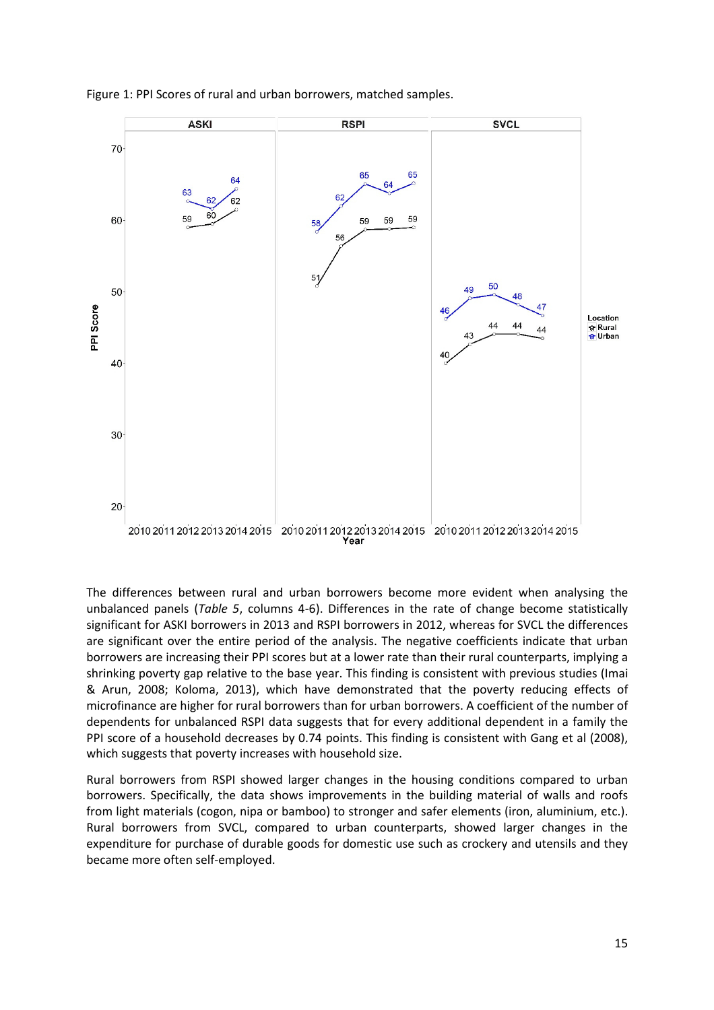

Figure 1: PPI Scores of rural and urban borrowers, matched samples.

The differences between rural and urban borrowers become more evident when analysing the unbalanced panels (Table 5, columns 4-6). Differences in the rate of change become statistically significant for ASKI borrowers in 2013 and RSPI borrowers in 2012, whereas for SVCL the differences are significant over the entire period of the analysis. The negative coefficients indicate that urban borrowers are increasing their PPI scores but at a lower rate than their rural counterparts, implying a shrinking poverty gap relative to the base year. This finding is consistent with previous studies (Imai & Arun, 2008; Koloma, 2013), which have demonstrated that the poverty reducing effects of microfinance are higher for rural borrowers than for urban borrowers. A coefficient of the number of dependents for unbalanced RSPI data suggests that for every additional dependent in a family the PPI score of a household decreases by 0.74 points. This finding is consistent with Gang et al (2008), which suggests that poverty increases with household size.

Rural borrowers from RSPI showed larger changes in the housing conditions compared to urban borrowers. Specifically, the data shows improvements in the building material of walls and roofs from light materials (cogon, nipa or bamboo) to stronger and safer elements (iron, aluminium, etc.). Rural borrowers from SVCL, compared to urban counterparts, showed larger changes in the expenditure for purchase of durable goods for domestic use such as crockery and utensils and they became more often self-employed.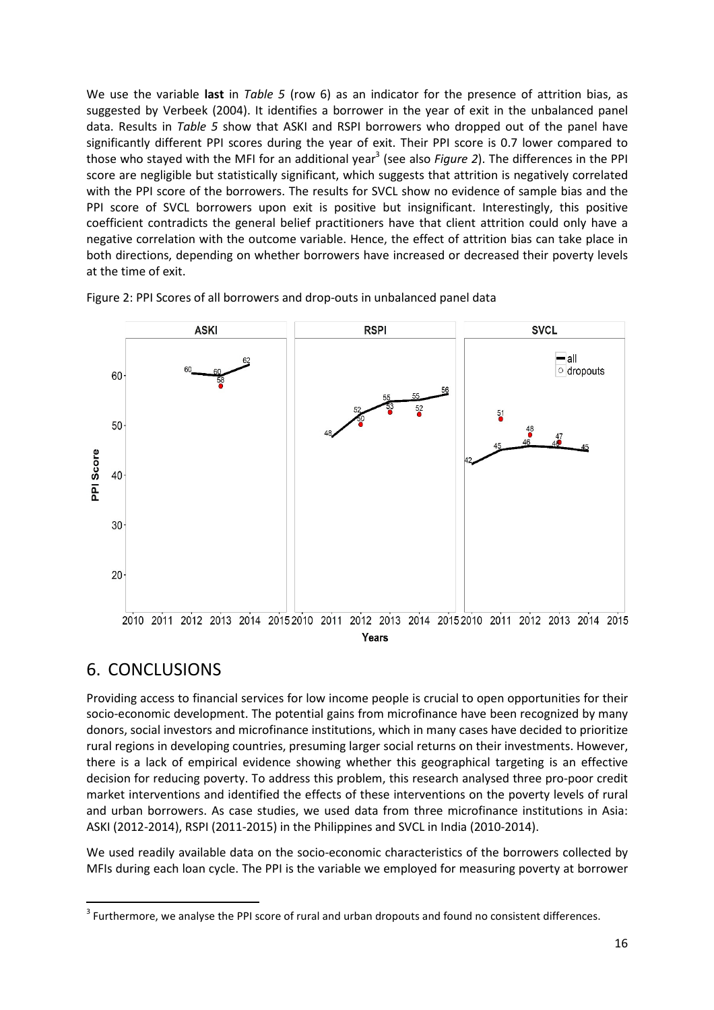We use the variable last in Table 5 (row 6) as an indicator for the presence of attrition bias, as suggested by Verbeek (2004). It identifies a borrower in the year of exit in the unbalanced panel data. Results in Table 5 show that ASKI and RSPI borrowers who dropped out of the panel have significantly different PPI scores during the year of exit. Their PPI score is 0.7 lower compared to those who stayed with the MFI for an additional year<sup>3</sup> (see also Figure 2). The differences in the PPI score are negligible but statistically significant, which suggests that attrition is negatively correlated with the PPI score of the borrowers. The results for SVCL show no evidence of sample bias and the PPI score of SVCL borrowers upon exit is positive but insignificant. Interestingly, this positive coefficient contradicts the general belief practitioners have that client attrition could only have a negative correlation with the outcome variable. Hence, the effect of attrition bias can take place in both directions, depending on whether borrowers have increased or decreased their poverty levels at the time of exit.



Figure 2: PPI Scores of all borrowers and drop-outs in unbalanced panel data

### 6. CONCLUSIONS

 $\overline{a}$ 

Providing access to financial services for low income people is crucial to open opportunities for their socio-economic development. The potential gains from microfinance have been recognized by many donors, social investors and microfinance institutions, which in many cases have decided to prioritize rural regions in developing countries, presuming larger social returns on their investments. However, there is a lack of empirical evidence showing whether this geographical targeting is an effective decision for reducing poverty. To address this problem, this research analysed three pro-poor credit market interventions and identified the effects of these interventions on the poverty levels of rural and urban borrowers. As case studies, we used data from three microfinance institutions in Asia: ASKI (2012-2014), RSPI (2011-2015) in the Philippines and SVCL in India (2010-2014).

We used readily available data on the socio-economic characteristics of the borrowers collected by MFIs during each loan cycle. The PPI is the variable we employed for measuring poverty at borrower

 $3$  Furthermore, we analyse the PPI score of rural and urban dropouts and found no consistent differences.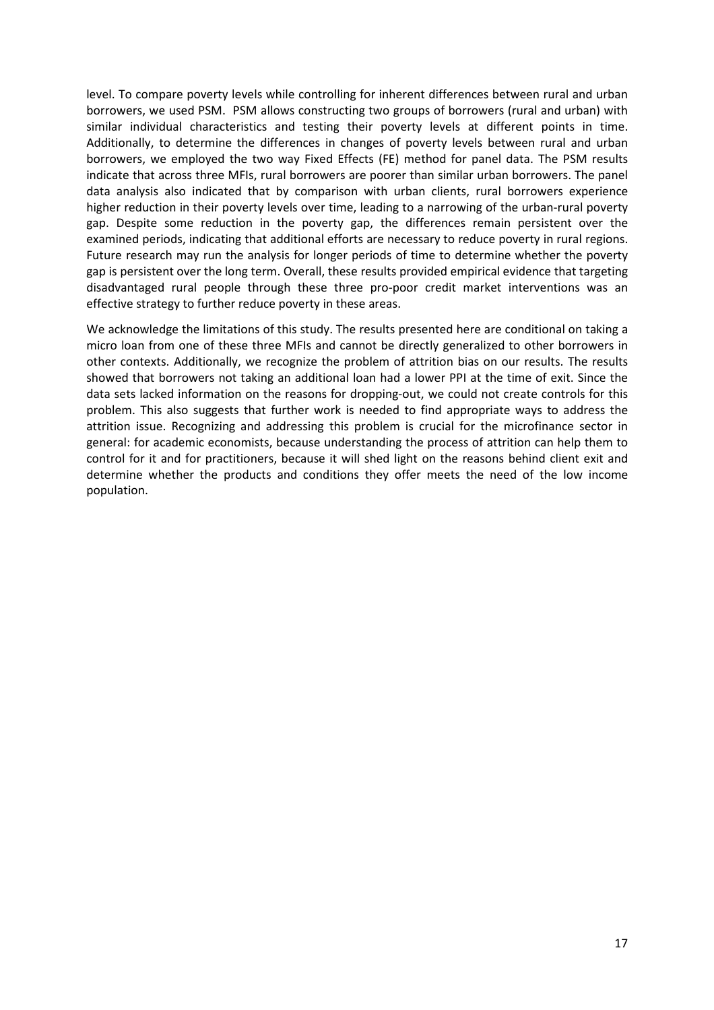level. To compare poverty levels while controlling for inherent differences between rural and urban borrowers, we used PSM. PSM allows constructing two groups of borrowers (rural and urban) with similar individual characteristics and testing their poverty levels at different points in time. Additionally, to determine the differences in changes of poverty levels between rural and urban borrowers, we employed the two way Fixed Effects (FE) method for panel data. The PSM results indicate that across three MFIs, rural borrowers are poorer than similar urban borrowers. The panel data analysis also indicated that by comparison with urban clients, rural borrowers experience higher reduction in their poverty levels over time, leading to a narrowing of the urban-rural poverty gap. Despite some reduction in the poverty gap, the differences remain persistent over the examined periods, indicating that additional efforts are necessary to reduce poverty in rural regions. Future research may run the analysis for longer periods of time to determine whether the poverty gap is persistent over the long term. Overall, these results provided empirical evidence that targeting disadvantaged rural people through these three pro-poor credit market interventions was an effective strategy to further reduce poverty in these areas.

We acknowledge the limitations of this study. The results presented here are conditional on taking a micro loan from one of these three MFIs and cannot be directly generalized to other borrowers in other contexts. Additionally, we recognize the problem of attrition bias on our results. The results showed that borrowers not taking an additional loan had a lower PPI at the time of exit. Since the data sets lacked information on the reasons for dropping-out, we could not create controls for this problem. This also suggests that further work is needed to find appropriate ways to address the attrition issue. Recognizing and addressing this problem is crucial for the microfinance sector in general: for academic economists, because understanding the process of attrition can help them to control for it and for practitioners, because it will shed light on the reasons behind client exit and determine whether the products and conditions they offer meets the need of the low income population.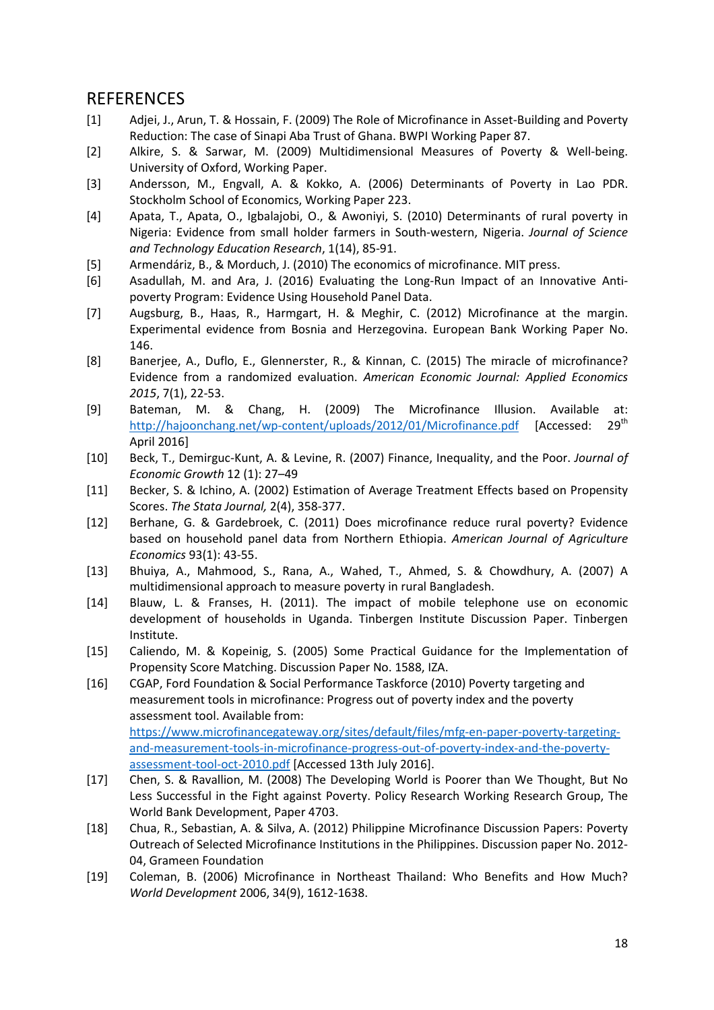### **REFERENCES**

- [1] Adjei, J., Arun, T. & Hossain, F. (2009) The Role of Microfinance in Asset-Building and Poverty Reduction: The case of Sinapi Aba Trust of Ghana. BWPI Working Paper 87.
- [2] Alkire, S. & Sarwar, M. (2009) Multidimensional Measures of Poverty & Well-being. University of Oxford, Working Paper.
- [3] Andersson, M., Engvall, A. & Kokko, A. (2006) Determinants of Poverty in Lao PDR. Stockholm School of Economics, Working Paper 223.
- [4] Apata, T., Apata, O., Igbalajobi, O., & Awoniyi, S. (2010) Determinants of rural poverty in Nigeria: Evidence from small holder farmers in South-western, Nigeria. Journal of Science and Technology Education Research, 1(14), 85-91.
- [5] Armendáriz, B., & Morduch, J. (2010) The economics of microfinance. MIT press.
- [6] Asadullah, M. and Ara, J. (2016) Evaluating the Long-Run Impact of an Innovative Antipoverty Program: Evidence Using Household Panel Data.
- [7] Augsburg, B., Haas, R., Harmgart, H. & Meghir, C. (2012) Microfinance at the margin. Experimental evidence from Bosnia and Herzegovina. European Bank Working Paper No. 146.
- [8] Banerjee, A., Duflo, E., Glennerster, R., & Kinnan, C. (2015) The miracle of microfinance? Evidence from a randomized evaluation. American Economic Journal: Applied Economics 2015, 7(1), 22-53.
- [9] Bateman, M. & Chang, H. (2009) The Microfinance Illusion. Available at: http://hajoonchang.net/wp-content/uploads/2012/01/Microfinance.pdf [Accessed: 29<sup>th</sup> April 2016]
- [10] Beck, T., Demirguc-Kunt, A. & Levine, R. (2007) Finance, Inequality, and the Poor. Journal of Economic Growth 12 (1): 27–49
- [11] Becker, S. & Ichino, A. (2002) Estimation of Average Treatment Effects based on Propensity Scores. The Stata Journal, 2(4), 358-377.
- [12] Berhane, G. & Gardebroek, C. (2011) Does microfinance reduce rural poverty? Evidence based on household panel data from Northern Ethiopia. American Journal of Agriculture Economics 93(1): 43-55.
- [13] Bhuiya, A., Mahmood, S., Rana, A., Wahed, T., Ahmed, S. & Chowdhury, A. (2007) A multidimensional approach to measure poverty in rural Bangladesh.
- [14] Blauw, L. & Franses, H. (2011). The impact of mobile telephone use on economic development of households in Uganda. Tinbergen Institute Discussion Paper. Tinbergen Institute.
- [15] Caliendo, M. & Kopeinig, S. (2005) Some Practical Guidance for the Implementation of Propensity Score Matching. Discussion Paper No. 1588, IZA.
- [16] CGAP, Ford Foundation & Social Performance Taskforce (2010) Poverty targeting and measurement tools in microfinance: Progress out of poverty index and the poverty assessment tool. Available from: https://www.microfinancegateway.org/sites/default/files/mfg-en-paper-poverty-targetingand-measurement-tools-in-microfinance-progress-out-of-poverty-index-and-the-povertyassessment-tool-oct-2010.pdf [Accessed 13th July 2016].
- [17] Chen, S. & Ravallion, M. (2008) The Developing World is Poorer than We Thought, But No Less Successful in the Fight against Poverty. Policy Research Working Research Group, The World Bank Development, Paper 4703.
- [18] Chua, R., Sebastian, A. & Silva, A. (2012) Philippine Microfinance Discussion Papers: Poverty Outreach of Selected Microfinance Institutions in the Philippines. Discussion paper No. 2012- 04, Grameen Foundation
- [19] Coleman, B. (2006) Microfinance in Northeast Thailand: Who Benefits and How Much? World Development 2006, 34(9), 1612-1638.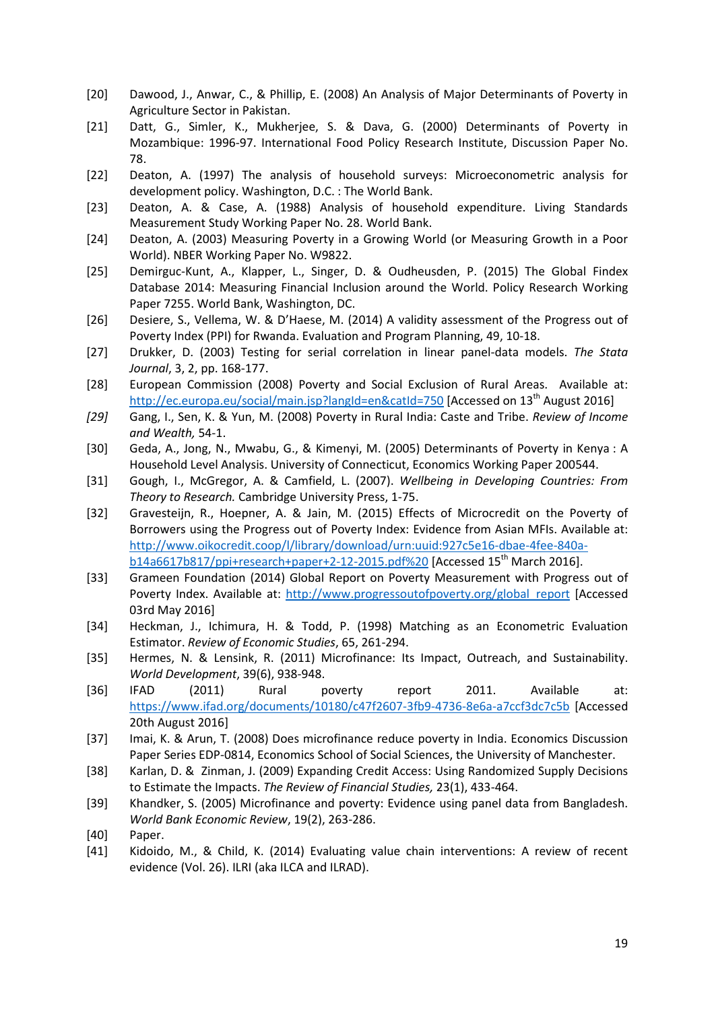- [20] Dawood, J., Anwar, C., & Phillip, E. (2008) An Analysis of Major Determinants of Poverty in Agriculture Sector in Pakistan.
- [21] Datt, G., Simler, K., Mukherjee, S. & Dava, G. (2000) Determinants of Poverty in Mozambique: 1996-97. International Food Policy Research Institute, Discussion Paper No. 78.
- [22] Deaton, A. (1997) The analysis of household surveys: Microeconometric analysis for development policy. Washington, D.C. : The World Bank.
- [23] Deaton, A. & Case, A. (1988) Analysis of household expenditure. Living Standards Measurement Study Working Paper No. 28. World Bank.
- [24] Deaton, A. (2003) Measuring Poverty in a Growing World (or Measuring Growth in a Poor World). NBER Working Paper No. W9822.
- [25] Demirguc-Kunt, A., Klapper, L., Singer, D. & Oudheusden, P. (2015) The Global Findex Database 2014: Measuring Financial Inclusion around the World. Policy Research Working Paper 7255. World Bank, Washington, DC.
- [26] Desiere, S., Vellema, W. & D'Haese, M. (2014) A validity assessment of the Progress out of Poverty Index (PPI) for Rwanda. Evaluation and Program Planning, 49, 10-18.
- [27] Drukker, D. (2003) Testing for serial correlation in linear panel-data models. The Stata Journal, 3, 2, pp. 168-177.
- [28] European Commission (2008) Poverty and Social Exclusion of Rural Areas. Available at: http://ec.europa.eu/social/main.jsp?langId=en&catId=750 [Accessed on 13<sup>th</sup> August 2016]
- [29] Gang, I., Sen, K. & Yun, M. (2008) Poverty in Rural India: Caste and Tribe. Review of Income and Wealth, 54-1.
- [30] Geda, A., Jong, N., Mwabu, G., & Kimenyi, M. (2005) Determinants of Poverty in Kenya : A Household Level Analysis. University of Connecticut, Economics Working Paper 200544.
- [31] Gough, I., McGregor, A. & Camfield, L. (2007). Wellbeing in Developing Countries: From Theory to Research. Cambridge University Press, 1-75.
- [32] Gravesteijn, R., Hoepner, A. & Jain, M. (2015) Effects of Microcredit on the Poverty of Borrowers using the Progress out of Poverty Index: Evidence from Asian MFIs. Available at: http://www.oikocredit.coop/l/library/download/urn:uuid:927c5e16-dbae-4fee-840ab14a6617b817/ppi+research+paper+2-12-2015.pdf%20 [Accessed 15<sup>th</sup> March 2016].
- [33] Grameen Foundation (2014) Global Report on Poverty Measurement with Progress out of Poverty Index. Available at: http://www.progressoutofpoverty.org/global\_report [Accessed 03rd May 2016]
- [34] Heckman, J., Ichimura, H. & Todd, P. (1998) Matching as an Econometric Evaluation Estimator. Review of Economic Studies, 65, 261-294.
- [35] Hermes, N. & Lensink, R. (2011) Microfinance: Its Impact, Outreach, and Sustainability. World Development, 39(6), 938-948.
- [36] IFAD (2011) Rural poverty report 2011. Available at: https://www.ifad.org/documents/10180/c47f2607-3fb9-4736-8e6a-a7ccf3dc7c5b [Accessed 20th August 2016]
- [37] Imai, K. & Arun, T. (2008) Does microfinance reduce poverty in India. Economics Discussion Paper Series EDP-0814, Economics School of Social Sciences, the University of Manchester.
- [38] Karlan, D. & Zinman, J. (2009) Expanding Credit Access: Using Randomized Supply Decisions to Estimate the Impacts. The Review of Financial Studies, 23(1), 433-464.
- [39] Khandker, S. (2005) Microfinance and poverty: Evidence using panel data from Bangladesh. World Bank Economic Review, 19(2), 263-286.
- [40] Paper.
- [41] Kidoido, M., & Child, K. (2014) Evaluating value chain interventions: A review of recent evidence (Vol. 26). ILRI (aka ILCA and ILRAD).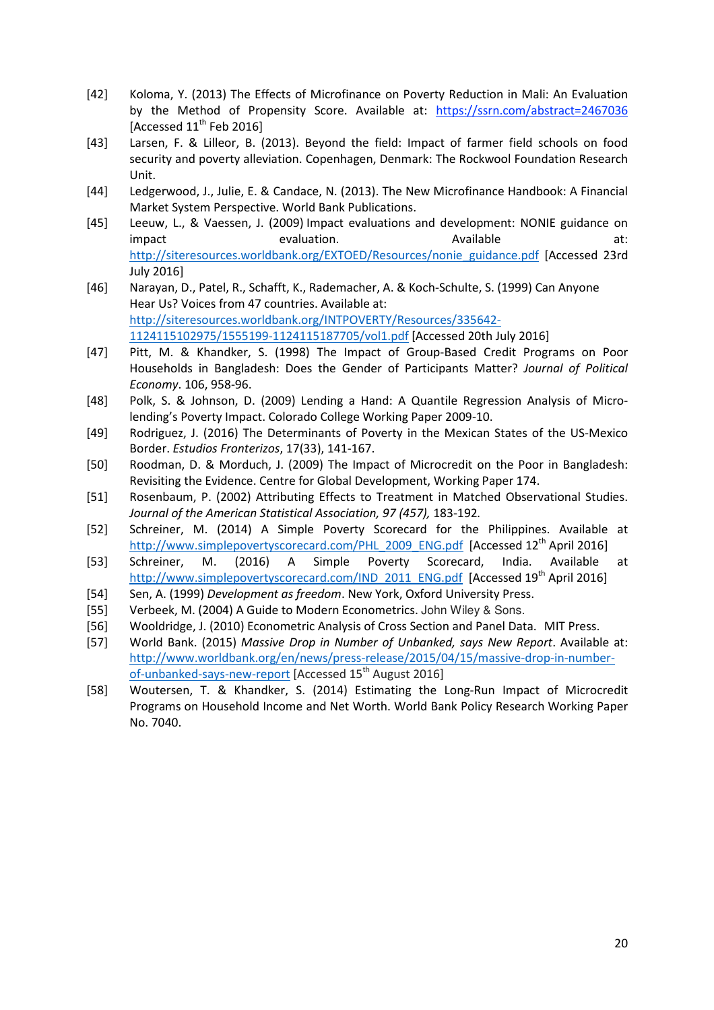- [42] Koloma, Y. (2013) The Effects of Microfinance on Poverty Reduction in Mali: An Evaluation by the Method of Propensity Score. Available at: https://ssrn.com/abstract=2467036 [Accessed  $11<sup>th</sup>$  Feb 2016]
- [43] Larsen, F. & Lilleor, B. (2013). Beyond the field: Impact of farmer field schools on food security and poverty alleviation. Copenhagen, Denmark: The Rockwool Foundation Research Unit.
- [44] Ledgerwood, J., Julie, E. & Candace, N. (2013). The New Microfinance Handbook: A Financial Market System Perspective. World Bank Publications.
- [45] Leeuw, L., & Vaessen, J. (2009) Impact evaluations and development: NONIE guidance on impact evaluation. Available at: http://siteresources.worldbank.org/EXTOED/Resources/nonie\_guidance.pdf [Accessed 23rd July 2016]
- [46] Narayan, D., Patel, R., Schafft, K., Rademacher, A. & Koch-Schulte, S. (1999) Can Anyone Hear Us? Voices from 47 countries. Available at: http://siteresources.worldbank.org/INTPOVERTY/Resources/335642- 1124115102975/1555199-1124115187705/vol1.pdf [Accessed 20th July 2016]
- [47] Pitt, M. & Khandker, S. (1998) The Impact of Group-Based Credit Programs on Poor Households in Bangladesh: Does the Gender of Participants Matter? Journal of Political Economy. 106, 958-96.
- [48] Polk, S. & Johnson, D. (2009) Lending a Hand: A Quantile Regression Analysis of Microlending's Poverty Impact. Colorado College Working Paper 2009-10.
- [49] Rodriguez, J. (2016) The Determinants of Poverty in the Mexican States of the US-Mexico Border. Estudios Fronterizos, 17(33), 141-167.
- [50] Roodman, D. & Morduch, J. (2009) The Impact of Microcredit on the Poor in Bangladesh: Revisiting the Evidence. Centre for Global Development, Working Paper 174.
- [51] Rosenbaum, P. (2002) Attributing Effects to Treatment in Matched Observational Studies. Journal of the American Statistical Association, 97 (457), 183-192.
- [52] Schreiner, M. (2014) A Simple Poverty Scorecard for the Philippines. Available at http://www.simplepovertyscorecard.com/PHL\_2009\_ENG.pdf [Accessed 12<sup>th</sup> April 2016]
- [53] Schreiner, M. (2016) A Simple Poverty Scorecard, India. Available at http://www.simplepovertyscorecard.com/IND\_2011\_ENG.pdf [Accessed 19<sup>th</sup> April 2016]
- [54] Sen, A. (1999) Development as freedom. New York, Oxford University Press.
- [55] Verbeek, M. (2004) A Guide to Modern Econometrics. John Wiley & Sons.
- [56] Wooldridge, J. (2010) Econometric Analysis of Cross Section and Panel Data. MIT Press.
- [57] World Bank. (2015) Massive Drop in Number of Unbanked, says New Report. Available at: http://www.worldbank.org/en/news/press-release/2015/04/15/massive-drop-in-numberof-unbanked-says-new-report [Accessed 15<sup>th</sup> August 2016]
- [58] Woutersen, T. & Khandker, S. (2014) Estimating the Long-Run Impact of Microcredit Programs on Household Income and Net Worth. World Bank Policy Research Working Paper No. 7040.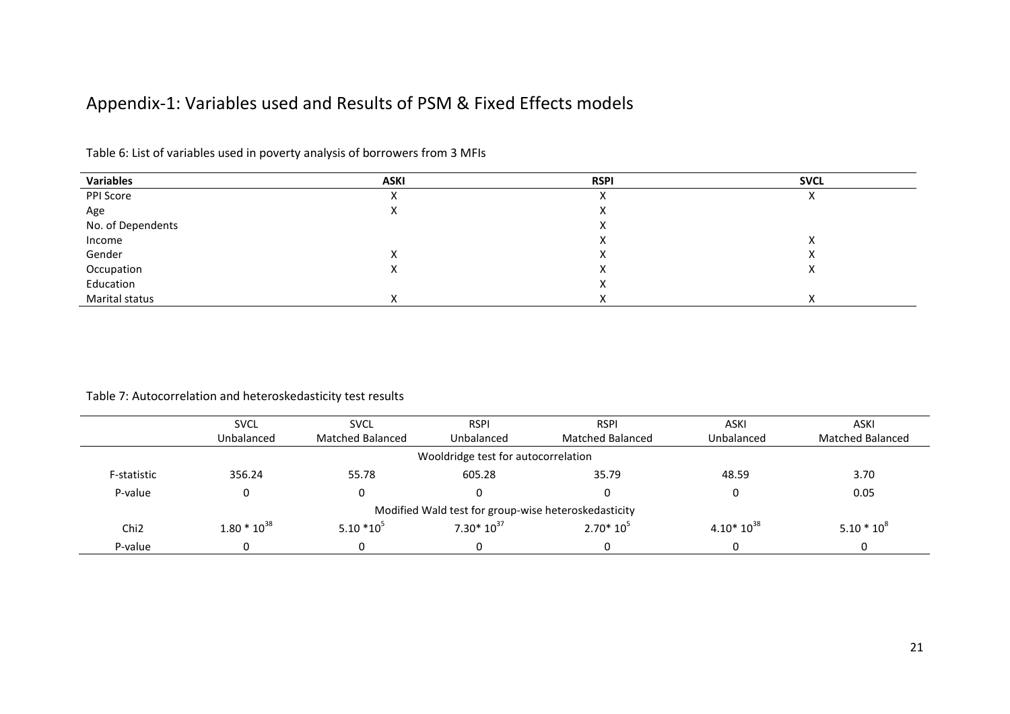### Appendix-1: Variables used and Results of PSM & Fixed Effects models

| <b>Variables</b>  | <b>ASKI</b> | <b>RSPI</b> | <b>SVCL</b> |
|-------------------|-------------|-------------|-------------|
| PPI Score         | ∧           | $\sqrt{ }$  |             |
| Age               | Λ           |             |             |
| No. of Dependents |             |             |             |
| Income            |             |             |             |
| Gender            |             |             |             |
| Occupation        | v<br>Λ      |             | $\lambda$   |
| Education         |             |             |             |
| Marital status    | v           |             |             |

Table 6: List of variables used in poverty analysis of borrowers from 3 MFIs

#### Table 7: Autocorrelation and heteroskedasticity test results

|                  | <b>SVCL</b>                                          | <b>SVCL</b>             | <b>RSPI</b>    | <b>RSPI</b>             | <b>ASKI</b>    | ASKI                    |  |  |  |
|------------------|------------------------------------------------------|-------------------------|----------------|-------------------------|----------------|-------------------------|--|--|--|
|                  | Unbalanced                                           | <b>Matched Balanced</b> | Unbalanced     | <b>Matched Balanced</b> | Unbalanced     | <b>Matched Balanced</b> |  |  |  |
|                  | Wooldridge test for autocorrelation                  |                         |                |                         |                |                         |  |  |  |
| F-statistic      | 356.24                                               | 55.78                   | 605.28         | 35.79                   | 48.59          | 3.70                    |  |  |  |
| P-value          | 0                                                    |                         |                | 0                       | 0              | 0.05                    |  |  |  |
|                  | Modified Wald test for group-wise heteroskedasticity |                         |                |                         |                |                         |  |  |  |
| Chi <sub>2</sub> | $1.80 * 10^{38}$                                     | $5.10*10^{5}$           | $7.30*10^{37}$ | $2.70*10^{5}$           | $4.10*10^{38}$ | $5.10 * 10^8$           |  |  |  |
| P-value          | 0                                                    |                         |                | 0                       |                |                         |  |  |  |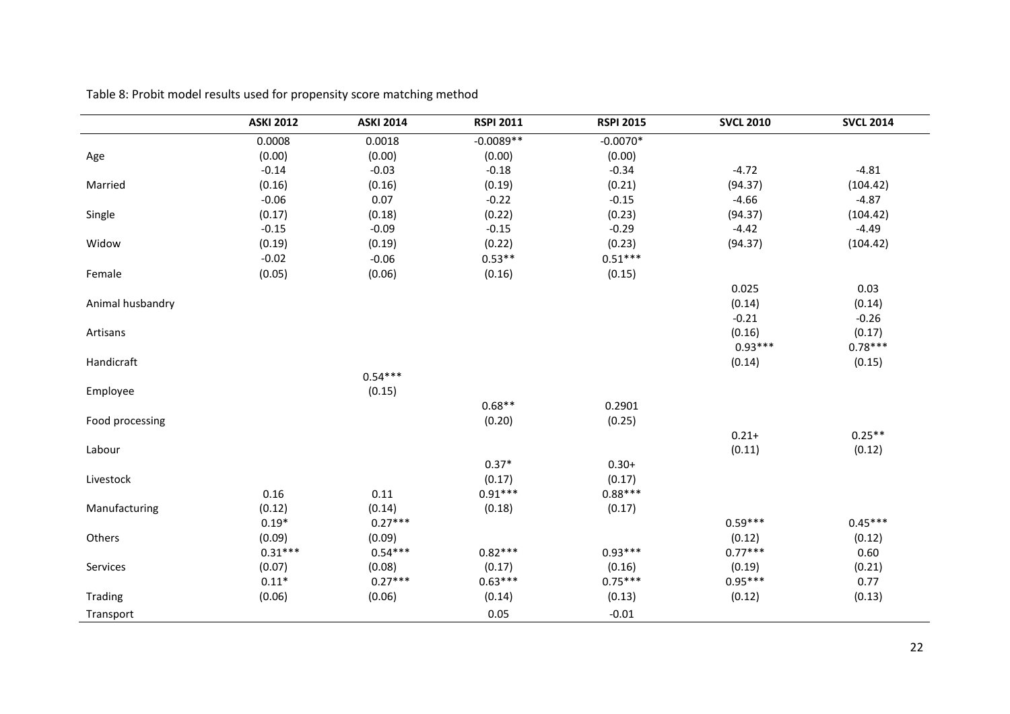|                  | <b>ASKI 2012</b> | <b>ASKI 2014</b> | <b>RSPI 2011</b> | <b>RSPI 2015</b> | <b>SVCL 2010</b> | <b>SVCL 2014</b> |
|------------------|------------------|------------------|------------------|------------------|------------------|------------------|
|                  | 0.0008           | 0.0018           | $-0.0089**$      | $-0.0070*$       |                  |                  |
| Age              | (0.00)           | (0.00)           | (0.00)           | (0.00)           |                  |                  |
|                  | $-0.14$          | $-0.03$          | $-0.18$          | $-0.34$          | $-4.72$          | $-4.81$          |
| Married          | (0.16)           | (0.16)           | (0.19)           | (0.21)           | (94.37)          | (104.42)         |
|                  | $-0.06$          | 0.07             | $-0.22$          | $-0.15$          | $-4.66$          | $-4.87$          |
| Single           | (0.17)           | (0.18)           | (0.22)           | (0.23)           | (94.37)          | (104.42)         |
|                  | $-0.15$          | $-0.09$          | $-0.15$          | $-0.29$          | $-4.42$          | $-4.49$          |
| Widow            | (0.19)           | (0.19)           | (0.22)           | (0.23)           | (94.37)          | (104.42)         |
|                  | $-0.02$          | $-0.06$          | $0.53**$         | $0.51***$        |                  |                  |
| Female           | (0.05)           | (0.06)           | (0.16)           | (0.15)           |                  |                  |
|                  |                  |                  |                  |                  | 0.025            | 0.03             |
| Animal husbandry |                  |                  |                  |                  | (0.14)           | (0.14)           |
|                  |                  |                  |                  |                  | $-0.21$          | $-0.26$          |
| Artisans         |                  |                  |                  |                  | (0.16)           | (0.17)           |
|                  |                  |                  |                  |                  | $0.93***$        | $0.78***$        |
| Handicraft       |                  |                  |                  |                  | (0.14)           | (0.15)           |
|                  |                  | $0.54***$        |                  |                  |                  |                  |
| Employee         |                  | (0.15)           |                  |                  |                  |                  |
|                  |                  |                  | $0.68**$         | 0.2901           |                  |                  |
| Food processing  |                  |                  | (0.20)           | (0.25)           |                  |                  |
|                  |                  |                  |                  |                  | $0.21 +$         | $0.25**$         |
| Labour           |                  |                  |                  |                  | (0.11)           | (0.12)           |
|                  |                  |                  | $0.37*$          | $0.30+$          |                  |                  |
| Livestock        |                  |                  | (0.17)           | (0.17)           |                  |                  |
|                  | 0.16             | 0.11             | $0.91***$        | $0.88***$        |                  |                  |
| Manufacturing    | (0.12)           | (0.14)           | (0.18)           | (0.17)           |                  |                  |
|                  | $0.19*$          | $0.27***$        |                  |                  | $0.59***$        | $0.45***$        |
| Others           | (0.09)           | (0.09)           |                  |                  | (0.12)           | (0.12)           |
|                  | $0.31***$        | $0.54***$        | $0.82***$        | $0.93***$        | $0.77***$        | 0.60             |
| Services         | (0.07)           | (0.08)           | (0.17)           | (0.16)           | (0.19)           | (0.21)           |
|                  | $0.11*$          | $0.27***$        | $0.63***$        | $0.75***$        | $0.95***$        | 0.77             |
| Trading          | (0.06)           | (0.06)           | (0.14)           | (0.13)           | (0.12)           | (0.13)           |
| Transport        |                  |                  | 0.05             | $-0.01$          |                  |                  |

Table 8: Probit model results used for propensity score matching method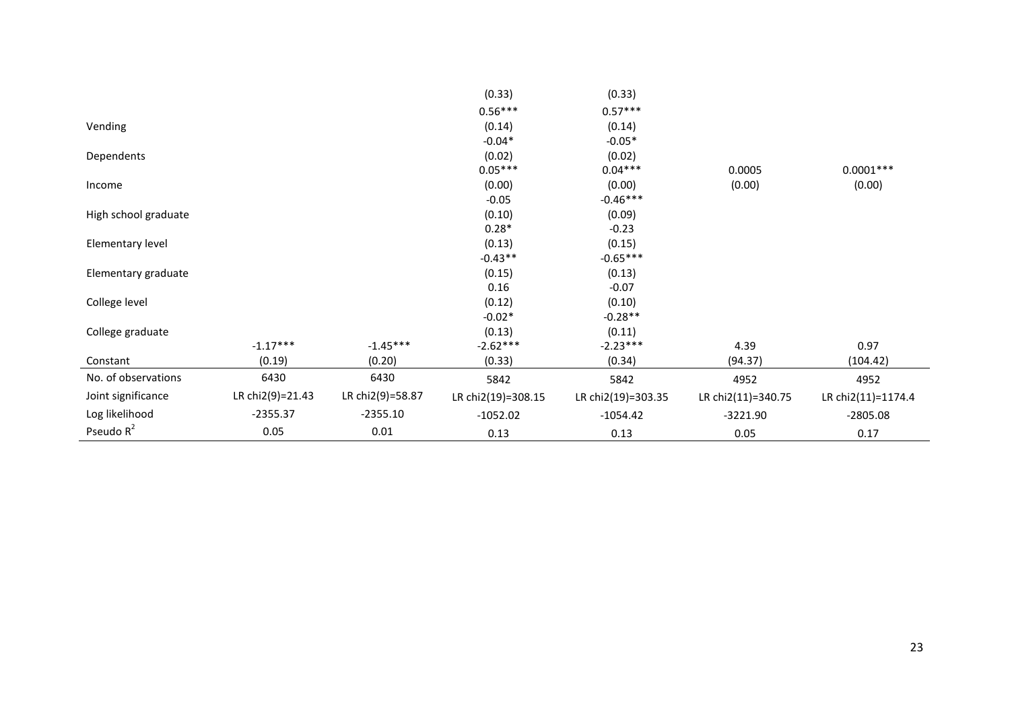|                      |                  |                  | (0.33)             | (0.33)             |                    |                    |
|----------------------|------------------|------------------|--------------------|--------------------|--------------------|--------------------|
|                      |                  |                  | $0.56***$          | $0.57***$          |                    |                    |
| Vending              |                  |                  | (0.14)             | (0.14)             |                    |                    |
|                      |                  |                  | $-0.04*$           | $-0.05*$           |                    |                    |
| Dependents           |                  |                  | (0.02)             | (0.02)             |                    |                    |
|                      |                  |                  | $0.05***$          | $0.04***$          | 0.0005             | $0.0001***$        |
| Income               |                  |                  | (0.00)             | (0.00)             | (0.00)             | (0.00)             |
|                      |                  |                  | $-0.05$            | $-0.46***$         |                    |                    |
| High school graduate |                  |                  | (0.10)             | (0.09)             |                    |                    |
|                      |                  |                  | $0.28*$            | $-0.23$            |                    |                    |
| Elementary level     |                  |                  | (0.13)             | (0.15)             |                    |                    |
|                      |                  |                  | $-0.43**$          | $-0.65***$         |                    |                    |
| Elementary graduate  |                  |                  | (0.15)             | (0.13)             |                    |                    |
|                      |                  |                  | 0.16               | $-0.07$            |                    |                    |
| College level        |                  |                  | (0.12)             | (0.10)             |                    |                    |
|                      |                  |                  | $-0.02*$           | $-0.28**$          |                    |                    |
| College graduate     |                  |                  | (0.13)             | (0.11)             |                    |                    |
|                      | $-1.17***$       | $-1.45***$       | $-2.62***$         | $-2.23***$         | 4.39               | 0.97               |
| Constant             | (0.19)           | (0.20)           | (0.33)             | (0.34)             | (94.37)            | (104.42)           |
| No. of observations  | 6430             | 6430             | 5842               | 5842               | 4952               | 4952               |
| Joint significance   | LR chi2(9)=21.43 | LR chi2(9)=58.87 | LR chi2(19)=308.15 | LR chi2(19)=303.35 | LR chi2(11)=340.75 | LR chi2(11)=1174.4 |
| Log likelihood       | $-2355.37$       | $-2355.10$       | $-1052.02$         | $-1054.42$         | $-3221.90$         | $-2805.08$         |
| Pseudo $R^2$         | 0.05             | 0.01             | 0.13               | 0.13               | 0.05               | 0.17               |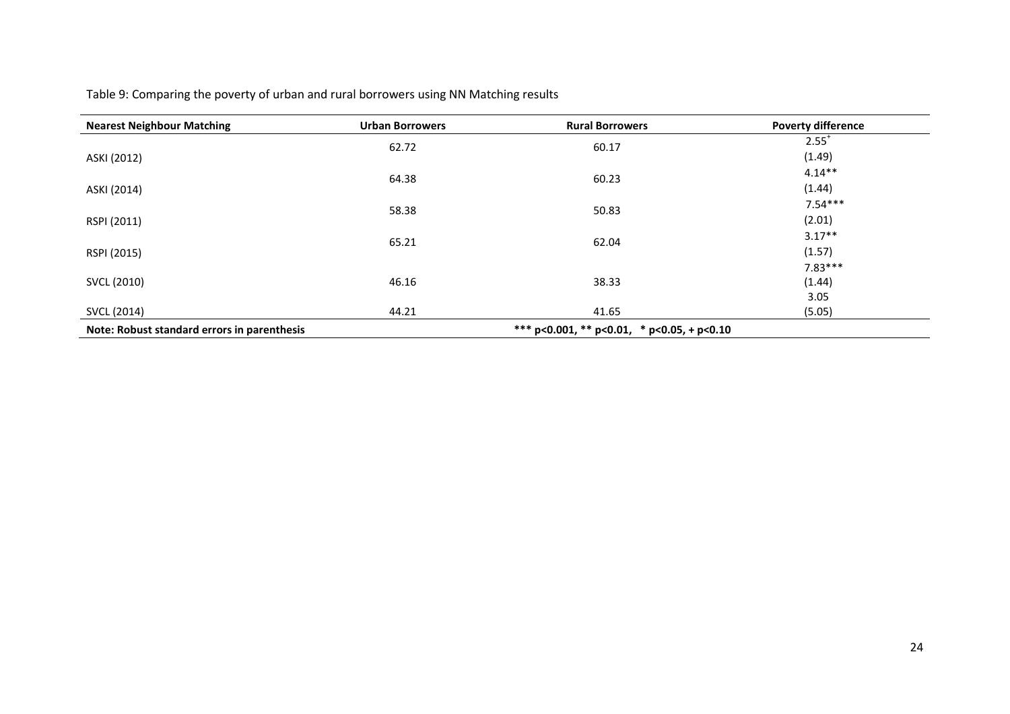Table 9: Comparing the poverty of urban and rural borrowers using NN Matching results

| <b>Nearest Neighbour Matching</b>           | <b>Urban Borrowers</b> | <b>Rural Borrowers</b>                     | <b>Poverty difference</b> |  |
|---------------------------------------------|------------------------|--------------------------------------------|---------------------------|--|
|                                             | 62.72                  | 60.17                                      | $2.55^+$                  |  |
| ASKI (2012)                                 |                        |                                            | (1.49)                    |  |
|                                             | 64.38                  | 60.23                                      | $4.14**$                  |  |
| ASKI (2014)                                 |                        |                                            | (1.44)                    |  |
|                                             | 58.38                  | 50.83                                      | $7.54***$                 |  |
| RSPI (2011)                                 |                        |                                            | (2.01)                    |  |
|                                             | 65.21                  | 62.04                                      | $3.17**$                  |  |
| RSPI (2015)                                 |                        |                                            | (1.57)                    |  |
|                                             |                        |                                            | $7.83***$                 |  |
| SVCL (2010)                                 | 46.16                  | 38.33                                      | (1.44)                    |  |
|                                             |                        |                                            | 3.05                      |  |
| SVCL (2014)                                 | 44.21                  | 41.65                                      | (5.05)                    |  |
| Note: Robust standard errors in parenthesis |                        | *** p<0.001, ** p<0.01, * p<0.05, + p<0.10 |                           |  |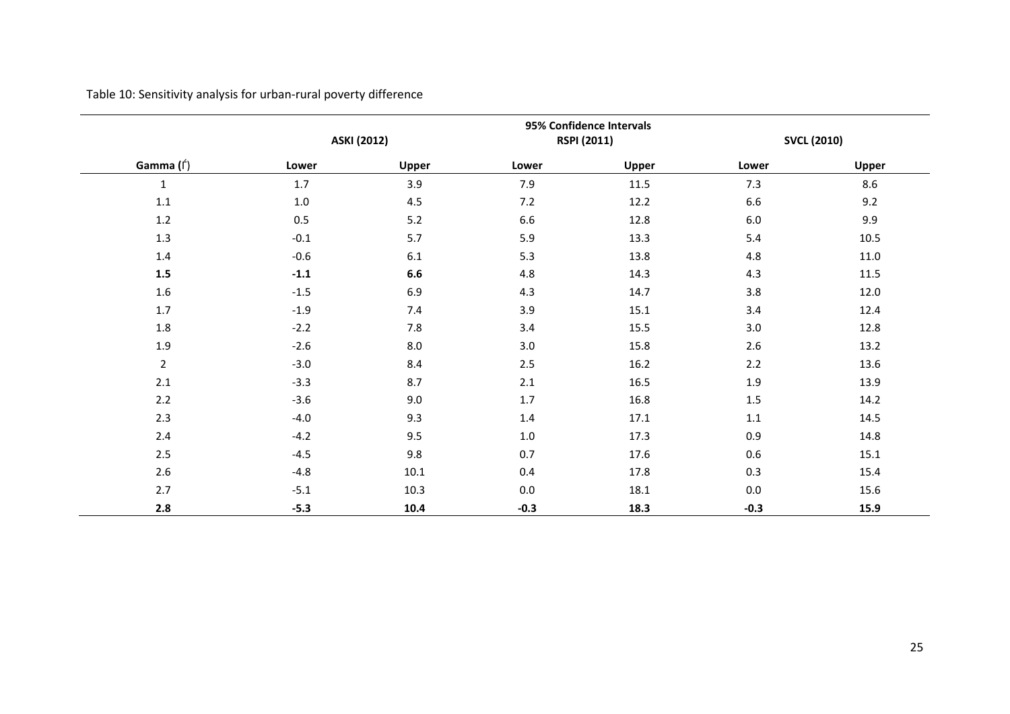Table 10: Sensitivity analysis for urban-rural poverty difference

|                | <b>ASKI (2012)</b> |         |         | 95% Confidence Intervals<br><b>RSPI (2011)</b> |         | <b>SVCL (2010)</b> |  |
|----------------|--------------------|---------|---------|------------------------------------------------|---------|--------------------|--|
| Gamma (f)      | Lower              | Upper   | Lower   | Upper                                          | Lower   | Upper              |  |
| $\mathbf 1$    | 1.7                | 3.9     | 7.9     | 11.5                                           | 7.3     | 8.6                |  |
| $1.1\,$        | $1.0\,$            | 4.5     | 7.2     | 12.2                                           | 6.6     | 9.2                |  |
| $1.2\,$        | $0.5\,$            | 5.2     | 6.6     | 12.8                                           | $6.0\,$ | 9.9                |  |
| $1.3\,$        | $-0.1$             | 5.7     | 5.9     | 13.3                                           | 5.4     | 10.5               |  |
| $1.4\,$        | $-0.6$             | 6.1     | 5.3     | 13.8                                           | 4.8     | 11.0               |  |
| $1.5\,$        | $-1.1$             | $6.6\,$ | 4.8     | 14.3                                           | 4.3     | 11.5               |  |
| $1.6\,$        | $-1.5$             | 6.9     | 4.3     | 14.7                                           | 3.8     | 12.0               |  |
| 1.7            | $-1.9$             | 7.4     | 3.9     | 15.1                                           | 3.4     | 12.4               |  |
| 1.8            | $-2.2$             | 7.8     | 3.4     | 15.5                                           | 3.0     | 12.8               |  |
| 1.9            | $-2.6$             | 8.0     | 3.0     | 15.8                                           | 2.6     | 13.2               |  |
| $\overline{2}$ | $-3.0$             | 8.4     | 2.5     | 16.2                                           | 2.2     | 13.6               |  |
| 2.1            | $-3.3$             | 8.7     | 2.1     | 16.5                                           | 1.9     | 13.9               |  |
| 2.2            | $-3.6$             | 9.0     | 1.7     | 16.8                                           | $1.5\,$ | 14.2               |  |
| 2.3            | $-4.0$             | 9.3     | 1.4     | 17.1                                           | 1.1     | 14.5               |  |
| 2.4            | $-4.2$             | 9.5     | 1.0     | 17.3                                           | 0.9     | 14.8               |  |
| 2.5            | $-4.5$             | 9.8     | 0.7     | 17.6                                           | 0.6     | 15.1               |  |
| 2.6            | $-4.8$             | 10.1    | 0.4     | 17.8                                           | 0.3     | 15.4               |  |
| 2.7            | $-5.1$             | 10.3    | $0.0\,$ | 18.1                                           | $0.0\,$ | 15.6               |  |
| 2.8            | $-5.3$             | 10.4    | $-0.3$  | 18.3                                           | $-0.3$  | 15.9               |  |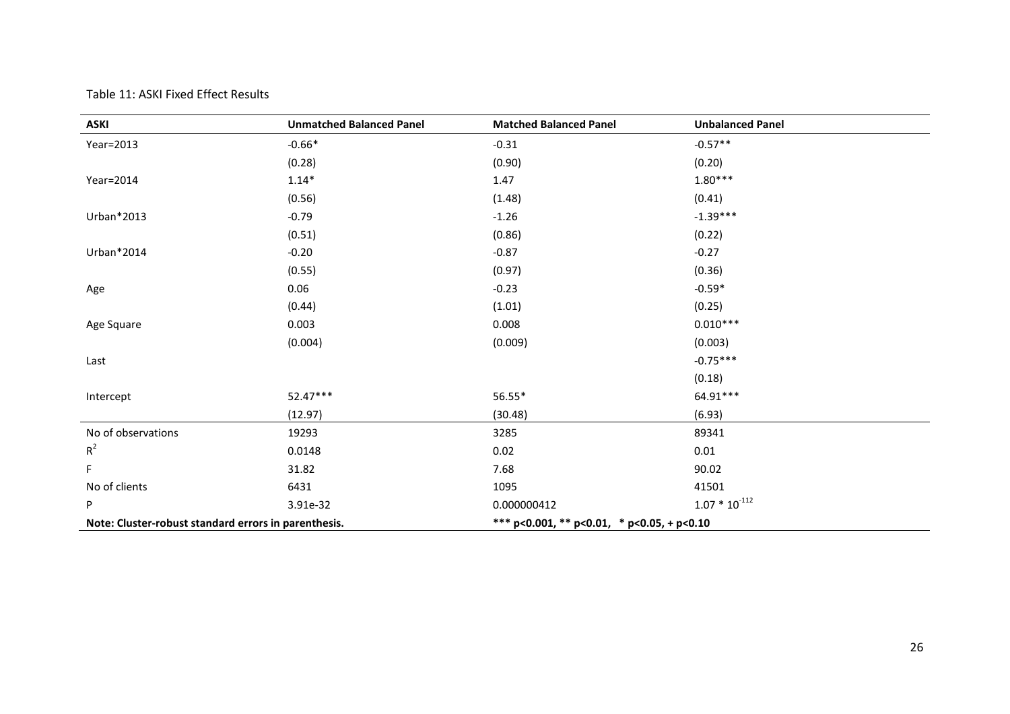#### Table 11: ASKI Fixed Effect Results

| <b>ASKI</b>                                          | <b>Unmatched Balanced Panel</b> | <b>Matched Balanced Panel</b>              | <b>Unbalanced Panel</b> |
|------------------------------------------------------|---------------------------------|--------------------------------------------|-------------------------|
| Year=2013                                            | $-0.66*$                        | $-0.31$                                    | $-0.57**$               |
|                                                      | (0.28)                          | (0.90)                                     | (0.20)                  |
| Year=2014                                            | $1.14*$                         | 1.47                                       | $1.80***$               |
|                                                      | (0.56)                          | (1.48)                                     | (0.41)                  |
| Urban*2013                                           | $-0.79$                         | $-1.26$                                    | $-1.39***$              |
|                                                      | (0.51)                          | (0.86)                                     | (0.22)                  |
| Urban*2014                                           | $-0.20$                         | $-0.87$                                    | $-0.27$                 |
|                                                      | (0.55)                          | (0.97)                                     | (0.36)                  |
| Age                                                  | 0.06                            | $-0.23$                                    | $-0.59*$                |
|                                                      | (0.44)                          | (1.01)                                     | (0.25)                  |
| Age Square                                           | 0.003                           | 0.008                                      | $0.010***$              |
|                                                      | (0.004)                         | (0.009)                                    | (0.003)                 |
| Last                                                 |                                 |                                            | $-0.75***$              |
|                                                      |                                 |                                            | (0.18)                  |
| Intercept                                            | 52.47***                        | 56.55*                                     | 64.91***                |
|                                                      | (12.97)                         | (30.48)                                    | (6.93)                  |
| No of observations                                   | 19293                           | 3285                                       | 89341                   |
| $R^2$                                                | 0.0148                          | 0.02                                       | 0.01                    |
| F.                                                   | 31.82                           | 7.68                                       | 90.02                   |
| No of clients                                        | 6431                            | 1095                                       | 41501                   |
| P                                                    | 3.91e-32                        | 0.000000412                                | $1.07 * 10^{-112}$      |
| Note: Cluster-robust standard errors in parenthesis. |                                 | *** p<0.001, ** p<0.01, * p<0.05, + p<0.10 |                         |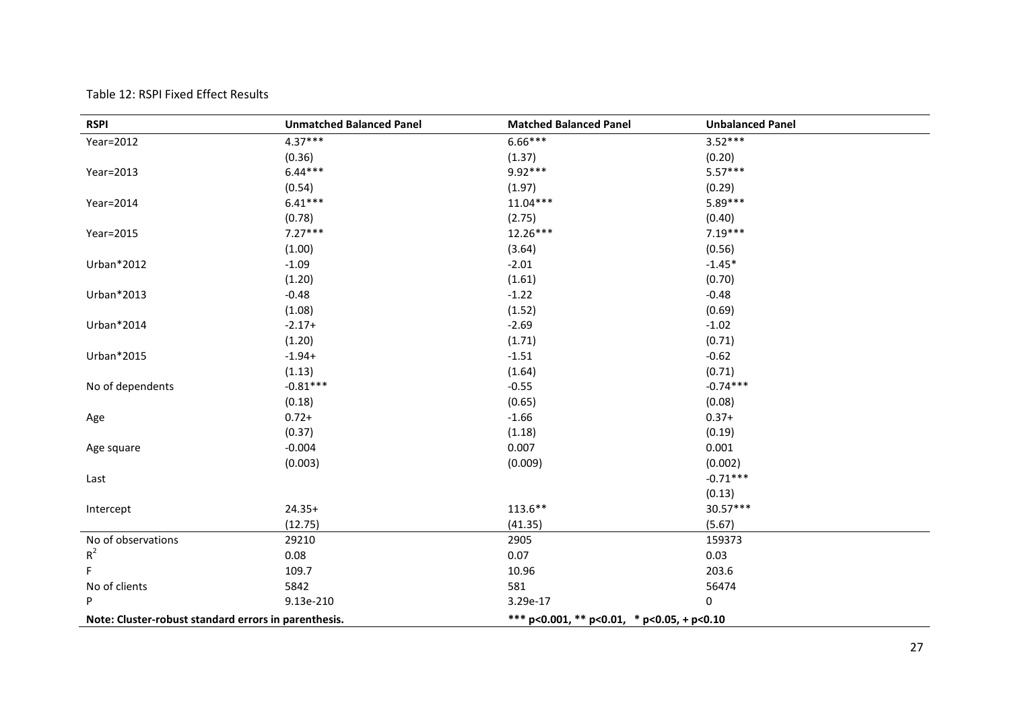| Table 12: RSPI Fixed Effect Results |  |  |
|-------------------------------------|--|--|
|-------------------------------------|--|--|

| <b>RSPI</b>                                          | <b>Unmatched Balanced Panel</b> | <b>Matched Balanced Panel</b>              | <b>Unbalanced Panel</b> |
|------------------------------------------------------|---------------------------------|--------------------------------------------|-------------------------|
| Year=2012                                            | $4.37***$                       | $6.66***$                                  | $3.52***$               |
|                                                      | (0.36)                          | (1.37)                                     | (0.20)                  |
| Year=2013                                            | $6.44***$                       | 9.92***                                    | $5.57***$               |
|                                                      | (0.54)                          | (1.97)                                     | (0.29)                  |
| Year=2014                                            | $6.41***$                       | $11.04***$                                 | 5.89***                 |
|                                                      | (0.78)                          | (2.75)                                     | (0.40)                  |
| Year=2015                                            | $7.27***$                       | $12.26***$                                 | $7.19***$               |
|                                                      | (1.00)                          | (3.64)                                     | (0.56)                  |
| Urban*2012                                           | $-1.09$                         | $-2.01$                                    | $-1.45*$                |
|                                                      | (1.20)                          | (1.61)                                     | (0.70)                  |
| Urban*2013                                           | $-0.48$                         | $-1.22$                                    | $-0.48$                 |
|                                                      | (1.08)                          | (1.52)                                     | (0.69)                  |
| Urban*2014                                           | $-2.17+$                        | $-2.69$                                    | $-1.02$                 |
|                                                      | (1.20)                          | (1.71)                                     | (0.71)                  |
| Urban*2015                                           | $-1.94+$                        | $-1.51$                                    | $-0.62$                 |
|                                                      | (1.13)                          | (1.64)                                     | (0.71)                  |
| No of dependents                                     | $-0.81***$                      | $-0.55$                                    | $-0.74***$              |
|                                                      | (0.18)                          | (0.65)                                     | (0.08)                  |
| Age                                                  | $0.72 +$                        | $-1.66$                                    | $0.37+$                 |
|                                                      | (0.37)                          | (1.18)                                     | (0.19)                  |
| Age square                                           | $-0.004$                        | 0.007                                      | 0.001                   |
|                                                      | (0.003)                         | (0.009)                                    | (0.002)                 |
| Last                                                 |                                 |                                            | $-0.71***$              |
|                                                      |                                 |                                            | (0.13)                  |
| Intercept                                            | $24.35+$                        | $113.6***$                                 | $30.57***$              |
|                                                      | (12.75)                         | (41.35)                                    | (5.67)                  |
| No of observations                                   | 29210                           | 2905                                       | 159373                  |
| $R^2$                                                | 0.08                            | 0.07                                       | 0.03                    |
| F.                                                   | 109.7                           | 10.96                                      | 203.6                   |
| No of clients                                        | 5842                            | 581                                        | 56474                   |
| P                                                    | 9.13e-210                       | 3.29e-17                                   | 0                       |
| Note: Cluster-robust standard errors in parenthesis. |                                 | *** p<0.001, ** p<0.01, * p<0.05, + p<0.10 |                         |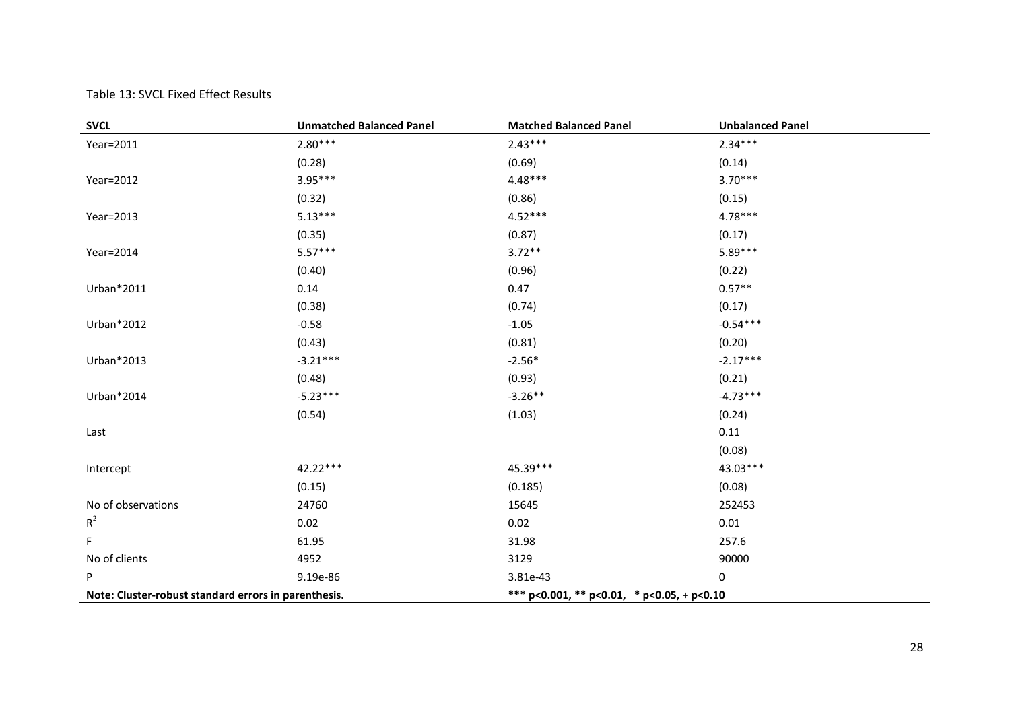#### Table 13: SVCL Fixed Effect Results

| <b>SVCL</b>                                          | <b>Unmatched Balanced Panel</b> | <b>Matched Balanced Panel</b>              | <b>Unbalanced Panel</b> |  |
|------------------------------------------------------|---------------------------------|--------------------------------------------|-------------------------|--|
| Year=2011                                            | $2.80***$                       | $2.43***$                                  | $2.34***$               |  |
|                                                      | (0.28)                          | (0.69)                                     | (0.14)                  |  |
| Year=2012                                            | $3.95***$                       | 4.48***                                    | $3.70***$               |  |
|                                                      | (0.32)                          | (0.86)                                     | (0.15)                  |  |
| Year=2013                                            | $5.13***$                       | $4.52***$                                  | $4.78***$               |  |
|                                                      | (0.35)                          | (0.87)                                     | (0.17)                  |  |
| Year=2014                                            | $5.57***$                       | $3.72**$                                   | 5.89***                 |  |
|                                                      | (0.40)                          | (0.96)                                     | (0.22)                  |  |
| Urban*2011                                           | 0.14                            | 0.47                                       | $0.57**$                |  |
|                                                      | (0.38)                          | (0.74)                                     | (0.17)                  |  |
| Urban*2012                                           | $-0.58$                         | $-1.05$                                    | $-0.54***$              |  |
|                                                      | (0.43)                          | (0.81)                                     | (0.20)                  |  |
| Urban*2013                                           | $-3.21***$                      | $-2.56*$                                   | $-2.17***$              |  |
|                                                      | (0.48)                          | (0.93)                                     | (0.21)                  |  |
| Urban*2014                                           | $-5.23***$                      | $-3.26**$                                  | $-4.73***$              |  |
|                                                      | (0.54)                          | (1.03)                                     | (0.24)                  |  |
| Last                                                 |                                 |                                            | 0.11                    |  |
|                                                      |                                 |                                            | (0.08)                  |  |
| Intercept                                            | 42.22***                        | 45.39***                                   | 43.03***                |  |
|                                                      | (0.15)                          | (0.185)                                    | (0.08)                  |  |
| No of observations                                   | 24760                           | 15645                                      | 252453                  |  |
| $R^2$                                                | 0.02                            | 0.02                                       | 0.01                    |  |
| F                                                    | 61.95                           | 31.98                                      | 257.6                   |  |
| No of clients                                        | 4952                            | 3129                                       | 90000                   |  |
| P                                                    | 9.19e-86                        | 3.81e-43                                   | 0                       |  |
| Note: Cluster-robust standard errors in parenthesis. |                                 | *** p<0.001, ** p<0.01, * p<0.05, + p<0.10 |                         |  |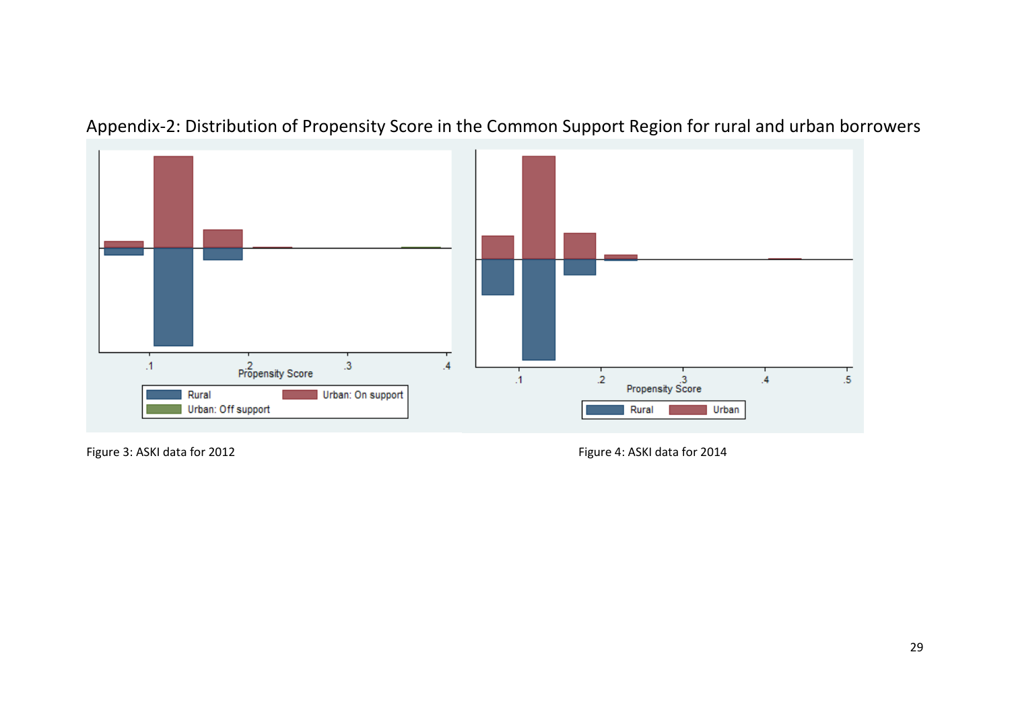# Appendix-2: Distribution of Propensity Score in the Common Support Region for rural and urban borrowers



Figure 3: ASKI data for 2012 and the state of the Figure 4: ASKI data for 2014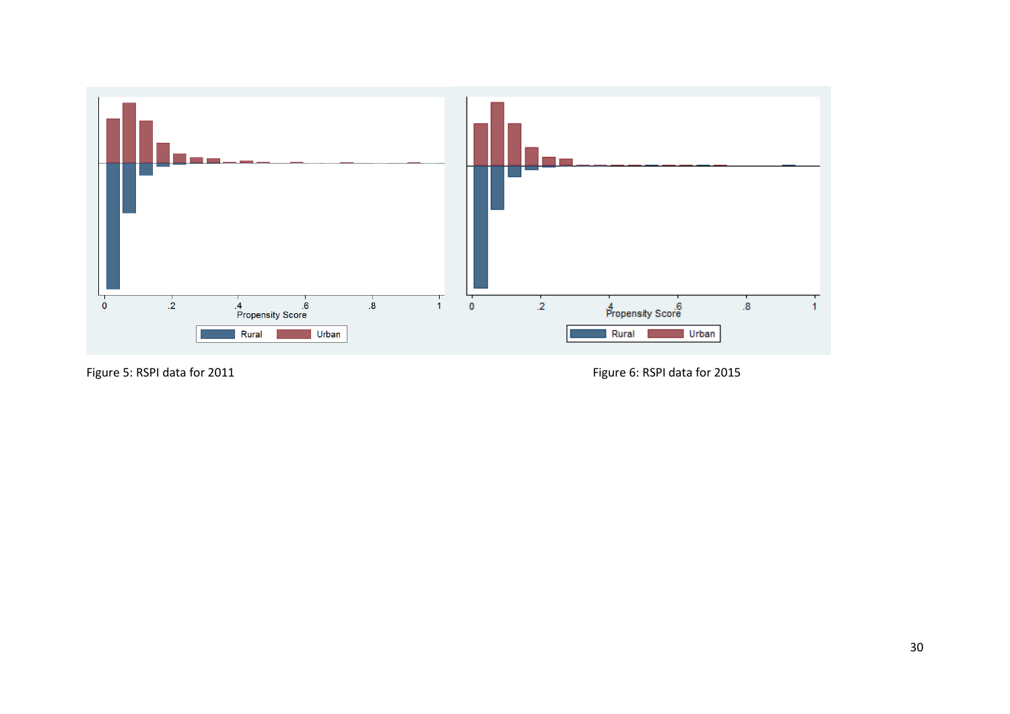